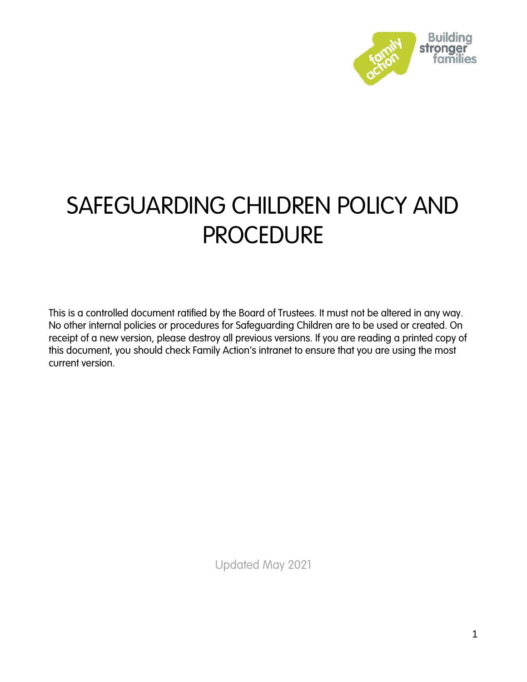

# SAFEGUARDING CHILDREN POLICY AND **PROCEDURE**

This is a controlled document ratified by the Board of Trustees. It must not be altered in any way. No other internal policies or procedures for Safeguarding Children are to be used or created. On receipt of a new version, please destroy all previous versions. If you are reading a printed copy of this document, you should check Family Action's intranet to ensure that you are using the most current version.

Updated May 2021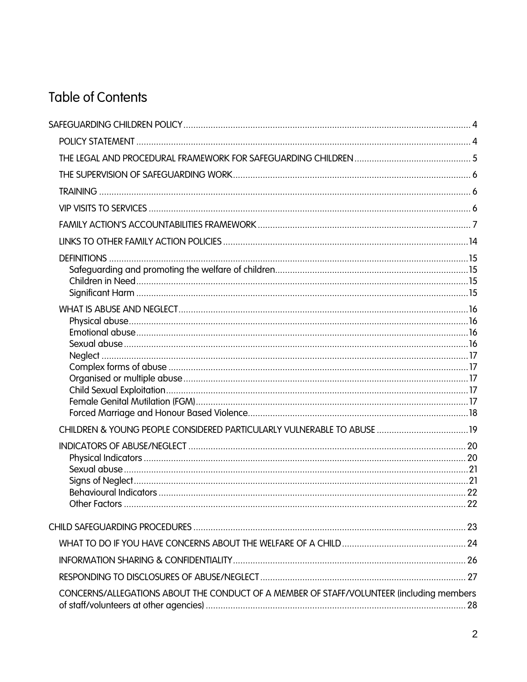## **Table of Contents**

| CONCERNS/ALLEGATIONS ABOUT THE CONDUCT OF A MEMBER OF STAFF/VOLUNTEER (including members |  |
|------------------------------------------------------------------------------------------|--|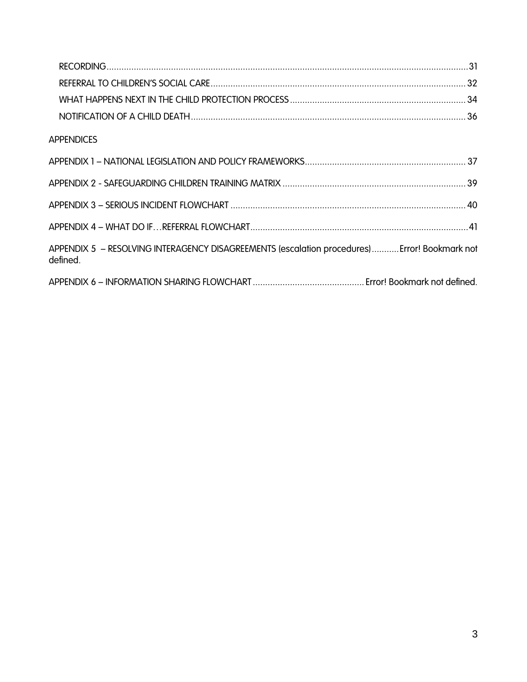<span id="page-2-0"></span>

| <b>APPENDICES</b>                                                                                        |  |
|----------------------------------------------------------------------------------------------------------|--|
|                                                                                                          |  |
|                                                                                                          |  |
|                                                                                                          |  |
|                                                                                                          |  |
| APPENDIX 5 - RESOLVING INTERAGENCY DISAGREEMENTS (escalation procedures) Error! Bookmark not<br>defined. |  |
|                                                                                                          |  |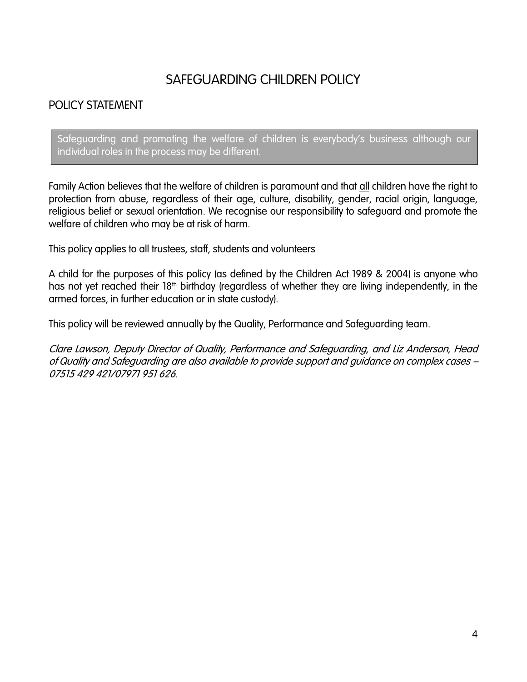## SAFEGUARDING CHILDREN POLICY

## <span id="page-3-0"></span>POLICY STATEMENT

Safeguarding and promoting the welfare of children is everybody's business although our individual roles in the process may be different.

Family Action believes that the welfare of children is paramount and that all children have the right to protection from abuse, regardless of their age, culture, disability, gender, racial origin, language, religious belief or sexual orientation. We recognise our responsibility to safeguard and promote the welfare of children who may be at risk of harm.

This policy applies to all trustees, staff, students and volunteers

A child for the purposes of this policy (as defined by the Children Act 1989 & 2004) is anyone who has not yet reached their 18<sup>th</sup> birthday (regardless of whether they are living independently, in the armed forces, in further education or in state custody).

This policy will be reviewed annually by the Quality, Performance and Safeguarding team.

Clare Lawson, Deputy Director of Quality, Performance and Safeguarding, and Liz Anderson, Head of Quality and Safeguarding are also available to provide support and guidance on complex cases – 07515 429 421/07971 951 626.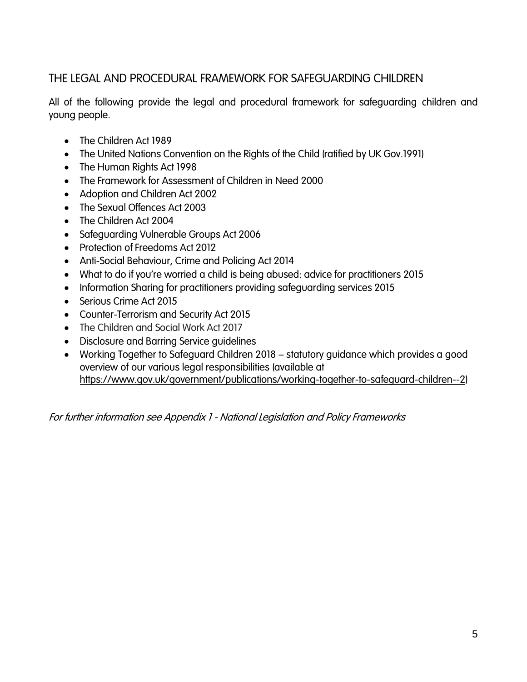## <span id="page-4-0"></span>THE LEGAL AND PROCEDURAL FRAMEWORK FOR SAFEGUARDING CHILDREN

All of the following provide the legal and procedural framework for safeguarding children and young people.

- The Children Act 1989
- The United Nations Convention on the Rights of the Child (ratified by UK Gov.1991)
- The Human Rights Act 1998
- The Framework for Assessment of Children in Need 2000
- Adoption and Children Act 2002
- The Sexual Offences Act 2003
- The Children Act 2004
- Safeguarding Vulnerable Groups Act 2006
- Protection of Freedoms Act 2012
- Anti-Social Behaviour, Crime and Policing Act 2014
- What to do if you're worried a child is being abused: advice for practitioners 2015
- Information Sharing for practitioners providing safeguarding services 2015
- Serious Crime Act 2015
- Counter-Terrorism and Security Act 2015
- The Children and Social Work Act 2017
- Disclosure and Barring Service guidelines
- Working Together to Safeguard Children 2018 statutory guidance which provides a good overview of our various legal responsibilities (available at [https://www.gov.uk/government/publications/working-together-to-safeguard-children--2\)](https://www.gov.uk/government/publications/working-together-to-safeguard-children--2)

For further information see Appendix 1 - National Legislation and Policy Frameworks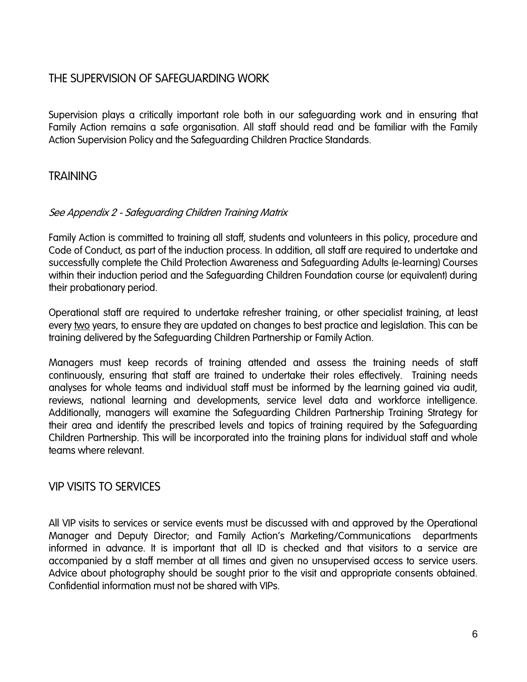### <span id="page-5-0"></span>THE SUPERVISION OF SAFEGUARDING WORK

Supervision plays a critically important role both in our safeguarding work and in ensuring that Family Action remains a safe organisation. All staff should read and be familiar with the Family Action Supervision Policy and the Safeguarding Children Practice Standards.

### <span id="page-5-1"></span>**TRAINING**

#### See Appendix 2 - Safeguarding Children Training Matrix

Family Action is committed to training all staff, students and volunteers in this policy, procedure and Code of Conduct, as part of the induction process. In addition, all staff are required to undertake and successfully complete the Child Protection Awareness and Safeguarding Adults (e-learning) Courses within their induction period and the Safeguarding Children Foundation course (or equivalent) during their probationary period.

Operational staff are required to undertake refresher training, or other specialist training, at least every two years, to ensure they are updated on changes to best practice and legislation. This can be training delivered by the Safeguarding Children Partnership or Family Action.

Managers must keep records of training attended and assess the training needs of staff continuously, ensuring that staff are trained to undertake their roles effectively. Training needs analyses for whole teams and individual staff must be informed by the learning gained via audit, reviews, national learning and developments, service level data and workforce intelligence. Additionally, managers will examine the Safeguarding Children Partnership Training Strategy for their area and identify the prescribed levels and topics of training required by the Safeguarding Children Partnership. This will be incorporated into the training plans for individual staff and whole teams where relevant.

#### <span id="page-5-2"></span>VIP VISITS TO SERVICES

All VIP visits to services or service events must be discussed with and approved by the Operational Manager and Deputy Director; and Family Action's Marketing/Communications departments informed in advance. It is important that all ID is checked and that visitors to a service are accompanied by a staff member at all times and given no unsupervised access to service users. Advice about photography should be sought prior to the visit and appropriate consents obtained. Confidential information must not be shared with VIPs.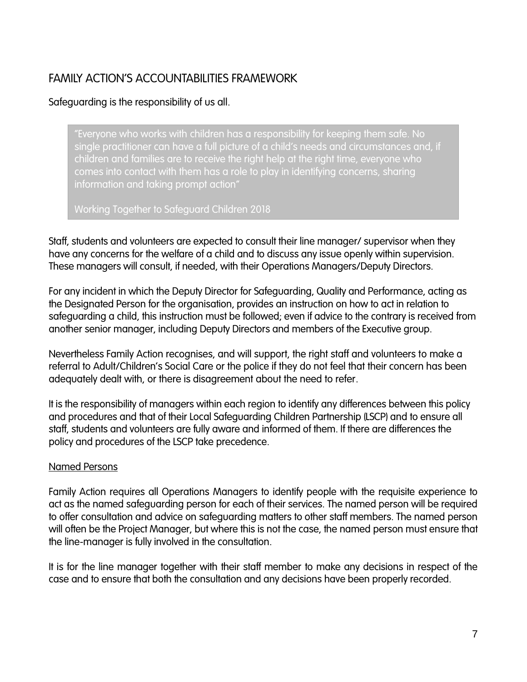## <span id="page-6-0"></span>FAMILY ACTION'S ACCOUNTABILITIES FRAMEWORK

#### Safeguarding is the responsibility of us all.

"Everyone who works with children has a responsibility for keeping them safe. No single practitioner can have a full picture of a child's needs and circumstances and, if children and families are to receive the right help at the right time, everyone who comes into contact with them has a role to play in identifying concerns, sharing information and taking prompt action"

Working Together to Safeguard Children 2018

Staff, students and volunteers are expected to consult their line manager/ supervisor when they have any concerns for the welfare of a child and to discuss any issue openly within supervision. These managers will consult, if needed, with their Operations Managers/Deputy Directors.

For any incident in which the Deputy Director for Safeguarding, Quality and Performance, acting as the Designated Person for the organisation, provides an instruction on how to act in relation to safeguarding a child, this instruction must be followed; even if advice to the contrary is received from another senior manager, including Deputy Directors and members of the Executive group.

Nevertheless Family Action recognises, and will support, the right staff and volunteers to make a referral to Adult/Children's Social Care or the police if they do not feel that their concern has been adequately dealt with, or there is disagreement about the need to refer.

It is the responsibility of managers within each region to identify any differences between this policy and procedures and that of their Local Safeguarding Children Partnership (LSCP) and to ensure all staff, students and volunteers are fully aware and informed of them. If there are differences the policy and procedures of the LSCP take precedence.

#### Named Persons

Family Action requires all Operations Managers to identify people with the requisite experience to act as the named safeguarding person for each of their services. The named person will be required to offer consultation and advice on safeguarding matters to other staff members. The named person will often be the Project Manager, but where this is not the case, the named person must ensure that the line-manager is fully involved in the consultation.

It is for the line manager together with their staff member to make any decisions in respect of the case and to ensure that both the consultation and any decisions have been properly recorded.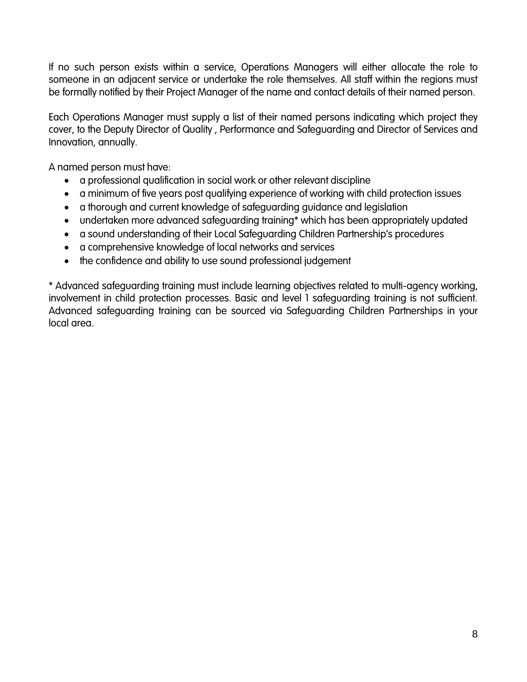If no such person exists within a service, Operations Managers will either allocate the role to someone in an adjacent service or undertake the role themselves. All staff within the regions must be formally notified by their Project Manager of the name and contact details of their named person.

Each Operations Manager must supply a list of their named persons indicating which project they cover, to the Deputy Director of Quality , Performance and Safeguarding and Director of Services and Innovation, annually.

A named person must have:

- a professional qualification in social work or other relevant discipline
- a minimum of five years post qualifying experience of working with child protection issues
- a thorough and current knowledge of safeguarding guidance and legislation
- undertaken more advanced safeguarding training\* which has been appropriately updated
- a sound understanding of their Local Safeguarding Children Partnership's procedures
- a comprehensive knowledge of local networks and services
- the confidence and ability to use sound professional judgement

\* Advanced safeguarding training must include learning objectives related to multi-agency working, involvement in child protection processes. Basic and level 1 safeguarding training is not sufficient. Advanced safeguarding training can be sourced via Safeguarding Children Partnerships in your local area.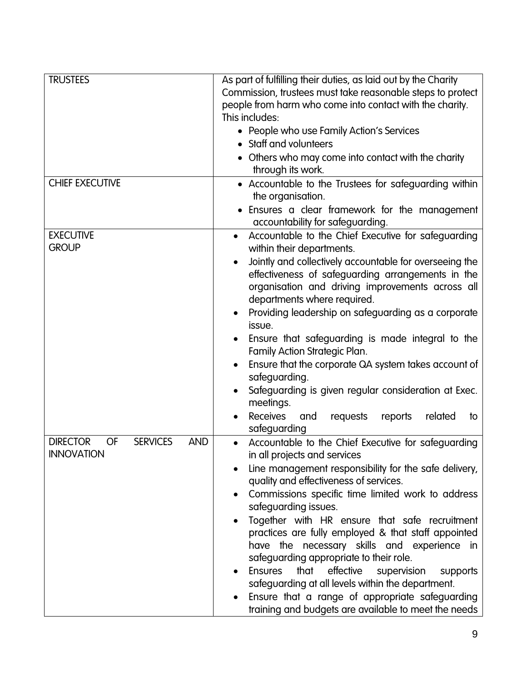| <b>TRUSTEES</b>                                                                    | As part of fulfilling their duties, as laid out by the Charity<br>Commission, trustees must take reasonable steps to protect<br>people from harm who come into contact with the charity.<br>This includes:<br>• People who use Family Action's Services<br>• Staff and volunteers<br>• Others who may come into contact with the charity |  |  |
|------------------------------------------------------------------------------------|------------------------------------------------------------------------------------------------------------------------------------------------------------------------------------------------------------------------------------------------------------------------------------------------------------------------------------------|--|--|
|                                                                                    | through its work.                                                                                                                                                                                                                                                                                                                        |  |  |
| <b>CHIEF EXECUTIVE</b>                                                             | • Accountable to the Trustees for safeguarding within<br>the organisation.                                                                                                                                                                                                                                                               |  |  |
|                                                                                    | • Ensures a clear framework for the management                                                                                                                                                                                                                                                                                           |  |  |
| <b>EXECUTIVE</b>                                                                   | accountability for safeguarding.                                                                                                                                                                                                                                                                                                         |  |  |
| <b>GROUP</b>                                                                       | Accountable to the Chief Executive for safeguarding<br>$\bullet$<br>within their departments.                                                                                                                                                                                                                                            |  |  |
|                                                                                    | Jointly and collectively accountable for overseeing the<br>$\bullet$<br>effectiveness of safeguarding arrangements in the<br>organisation and driving improvements across all<br>departments where required.                                                                                                                             |  |  |
|                                                                                    | Providing leadership on safeguarding as a corporate<br>$\bullet$<br>issue.                                                                                                                                                                                                                                                               |  |  |
|                                                                                    | Ensure that safeguarding is made integral to the<br>$\bullet$<br>Family Action Strategic Plan.                                                                                                                                                                                                                                           |  |  |
|                                                                                    | Ensure that the corporate QA system takes account of<br>$\bullet$                                                                                                                                                                                                                                                                        |  |  |
|                                                                                    | safeguarding.                                                                                                                                                                                                                                                                                                                            |  |  |
|                                                                                    | Safeguarding is given regular consideration at Exec.<br>$\bullet$<br>meetings.                                                                                                                                                                                                                                                           |  |  |
|                                                                                    | <b>Receives</b><br>and<br>requests<br>reports<br>related<br>to<br>safeguarding                                                                                                                                                                                                                                                           |  |  |
| <b>DIRECTOR</b><br><b>OF</b><br><b>SERVICES</b><br><b>AND</b><br><b>INNOVATION</b> | Accountable to the Chief Executive for safeguarding<br>in all projects and services                                                                                                                                                                                                                                                      |  |  |
|                                                                                    | Line management responsibility for the safe delivery,<br>quality and effectiveness of services.                                                                                                                                                                                                                                          |  |  |
|                                                                                    | Commissions specific time limited work to address                                                                                                                                                                                                                                                                                        |  |  |
|                                                                                    | safeguarding issues.                                                                                                                                                                                                                                                                                                                     |  |  |
|                                                                                    | Together with HR ensure that safe recruitment<br>practices are fully employed & that staff appointed<br>have the necessary skills and experience in<br>safeguarding appropriate to their role.                                                                                                                                           |  |  |
|                                                                                    | <b>Ensures</b><br>that<br>effective<br>supervision<br>supports                                                                                                                                                                                                                                                                           |  |  |
|                                                                                    | safeguarding at all levels within the department.                                                                                                                                                                                                                                                                                        |  |  |
|                                                                                    | Ensure that a range of appropriate safeguarding<br>$\bullet$<br>training and budgets are available to meet the needs                                                                                                                                                                                                                     |  |  |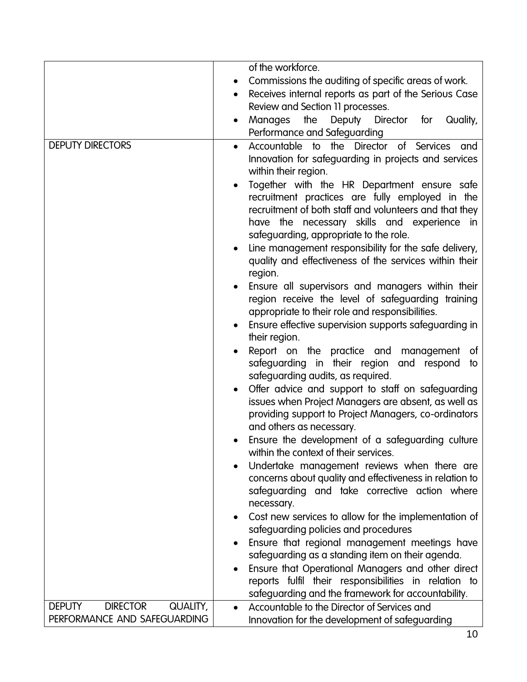|                                              | of the workforce.                                                                                                                                                                                         |
|----------------------------------------------|-----------------------------------------------------------------------------------------------------------------------------------------------------------------------------------------------------------|
|                                              | Commissions the auditing of specific areas of work.<br>$\bullet$                                                                                                                                          |
|                                              | Receives internal reports as part of the Serious Case                                                                                                                                                     |
|                                              | Review and Section 11 processes.                                                                                                                                                                          |
|                                              | the<br>Deputy Director for<br>Manages<br>Quality,<br>$\bullet$                                                                                                                                            |
|                                              | Performance and Safeguarding                                                                                                                                                                              |
| <b>DEPUTY DIRECTORS</b>                      | Accountable to the Director of Services and<br>$\bullet$<br>Innovation for safeguarding in projects and services<br>within their region.<br>Together with the HR Department ensure safe<br>$\bullet$      |
|                                              | recruitment practices are fully employed in the<br>recruitment of both staff and volunteers and that they<br>have the necessary skills and experience in<br>safeguarding, appropriate to the role.        |
|                                              | Line management responsibility for the safe delivery,<br>$\bullet$<br>quality and effectiveness of the services within their<br>region.                                                                   |
|                                              | Ensure all supervisors and managers within their<br>region receive the level of safeguarding training<br>appropriate to their role and responsibilities.                                                  |
|                                              | Ensure effective supervision supports safeguarding in<br>$\bullet$<br>their region.                                                                                                                       |
|                                              | Report on the practice and management<br>of<br>$\bullet$<br>safeguarding in their region and respond<br>to<br>safeguarding audits, as required.                                                           |
|                                              | Offer advice and support to staff on safeguarding<br>$\bullet$<br>issues when Project Managers are absent, as well as<br>providing support to Project Managers, co-ordinators<br>and others as necessary. |
|                                              | Ensure the development of a safeguarding culture<br>within the context of their services.                                                                                                                 |
|                                              | Undertake management reviews when there are<br>$\bullet$<br>concerns about quality and effectiveness in relation to<br>safeguarding and take corrective action where<br>necessary.                        |
|                                              | Cost new services to allow for the implementation of<br>$\bullet$                                                                                                                                         |
|                                              | safeguarding policies and procedures                                                                                                                                                                      |
|                                              | Ensure that regional management meetings have<br>$\bullet$                                                                                                                                                |
|                                              | safeguarding as a standing item on their agenda.                                                                                                                                                          |
|                                              | Ensure that Operational Managers and other direct<br>$\bullet$<br>reports fulfil their responsibilities in relation to<br>safeguarding and the framework for accountability.                              |
| <b>DIRECTOR</b><br><b>DEPUTY</b><br>QUALITY, | Accountable to the Director of Services and<br>$\bullet$                                                                                                                                                  |
| PERFORMANCE AND SAFEGUARDING                 | Innovation for the development of safeguarding                                                                                                                                                            |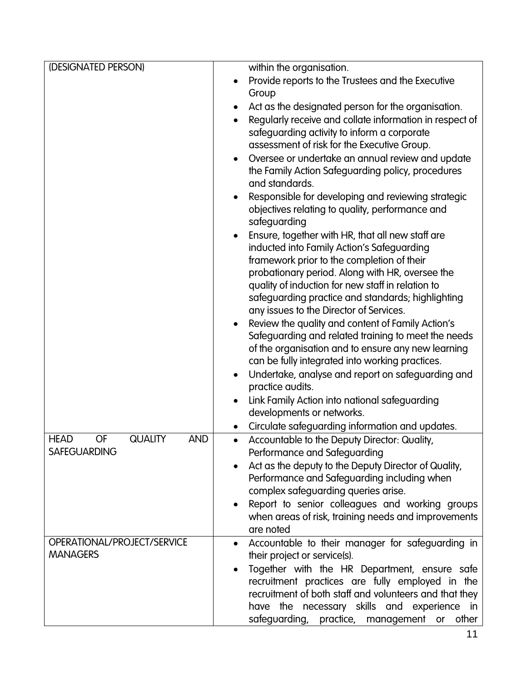| (DESIGNATED PERSON)                               | within the organisation.                                                                                                                                                                                                                                                                                                                                       |
|---------------------------------------------------|----------------------------------------------------------------------------------------------------------------------------------------------------------------------------------------------------------------------------------------------------------------------------------------------------------------------------------------------------------------|
|                                                   | Provide reports to the Trustees and the Executive<br>$\bullet$                                                                                                                                                                                                                                                                                                 |
|                                                   | Group                                                                                                                                                                                                                                                                                                                                                          |
|                                                   | Act as the designated person for the organisation.                                                                                                                                                                                                                                                                                                             |
|                                                   | Regularly receive and collate information in respect of<br>$\bullet$                                                                                                                                                                                                                                                                                           |
|                                                   | safeguarding activity to inform a corporate                                                                                                                                                                                                                                                                                                                    |
|                                                   | assessment of risk for the Executive Group.                                                                                                                                                                                                                                                                                                                    |
|                                                   | Oversee or undertake an annual review and update<br>$\bullet$                                                                                                                                                                                                                                                                                                  |
|                                                   | the Family Action Safeguarding policy, procedures                                                                                                                                                                                                                                                                                                              |
|                                                   | and standards.                                                                                                                                                                                                                                                                                                                                                 |
|                                                   | Responsible for developing and reviewing strategic<br>$\bullet$                                                                                                                                                                                                                                                                                                |
|                                                   | objectives relating to quality, performance and                                                                                                                                                                                                                                                                                                                |
|                                                   | safeguarding                                                                                                                                                                                                                                                                                                                                                   |
|                                                   | Ensure, together with HR, that all new staff are<br>$\bullet$                                                                                                                                                                                                                                                                                                  |
|                                                   | inducted into Family Action's Safeguarding                                                                                                                                                                                                                                                                                                                     |
|                                                   | framework prior to the completion of their                                                                                                                                                                                                                                                                                                                     |
|                                                   | probationary period. Along with HR, oversee the                                                                                                                                                                                                                                                                                                                |
|                                                   | quality of induction for new staff in relation to                                                                                                                                                                                                                                                                                                              |
|                                                   | safeguarding practice and standards; highlighting                                                                                                                                                                                                                                                                                                              |
|                                                   | any issues to the Director of Services.                                                                                                                                                                                                                                                                                                                        |
|                                                   | Review the quality and content of Family Action's<br>$\bullet$<br>Safeguarding and related training to meet the needs                                                                                                                                                                                                                                          |
|                                                   | of the organisation and to ensure any new learning                                                                                                                                                                                                                                                                                                             |
|                                                   | can be fully integrated into working practices.                                                                                                                                                                                                                                                                                                                |
|                                                   | Undertake, analyse and report on safeguarding and<br>$\bullet$                                                                                                                                                                                                                                                                                                 |
|                                                   | practice audits.                                                                                                                                                                                                                                                                                                                                               |
|                                                   | Link Family Action into national safeguarding<br>$\bullet$                                                                                                                                                                                                                                                                                                     |
|                                                   | developments or networks.                                                                                                                                                                                                                                                                                                                                      |
|                                                   | Circulate safeguarding information and updates.<br>$\bullet$                                                                                                                                                                                                                                                                                                   |
| <b>AND</b><br>OF<br><b>QUALITY</b><br><b>HEAD</b> | Accountable to the Deputy Director: Quality,<br>$\bullet$                                                                                                                                                                                                                                                                                                      |
| <b>SAFEGUARDING</b>                               | Performance and Safeguarding                                                                                                                                                                                                                                                                                                                                   |
|                                                   | Act as the deputy to the Deputy Director of Quality,<br>$\bullet$                                                                                                                                                                                                                                                                                              |
|                                                   | Performance and Safeguarding including when                                                                                                                                                                                                                                                                                                                    |
|                                                   | complex safeguarding queries arise.                                                                                                                                                                                                                                                                                                                            |
|                                                   | Report to senior colleagues and working groups                                                                                                                                                                                                                                                                                                                 |
|                                                   | when areas of risk, training needs and improvements<br>are noted                                                                                                                                                                                                                                                                                               |
|                                                   |                                                                                                                                                                                                                                                                                                                                                                |
|                                                   |                                                                                                                                                                                                                                                                                                                                                                |
|                                                   |                                                                                                                                                                                                                                                                                                                                                                |
|                                                   |                                                                                                                                                                                                                                                                                                                                                                |
|                                                   |                                                                                                                                                                                                                                                                                                                                                                |
|                                                   |                                                                                                                                                                                                                                                                                                                                                                |
|                                                   |                                                                                                                                                                                                                                                                                                                                                                |
| OPERATIONAL/PROJECT/SERVICE<br><b>MANAGERS</b>    | Accountable to their manager for safeguarding in<br>their project or service(s).<br>Together with the HR Department, ensure safe<br>$\bullet$<br>recruitment practices are fully employed in the<br>recruitment of both staff and volunteers and that they<br>have the necessary skills and experience in<br>safeguarding,<br>practice,<br>management or other |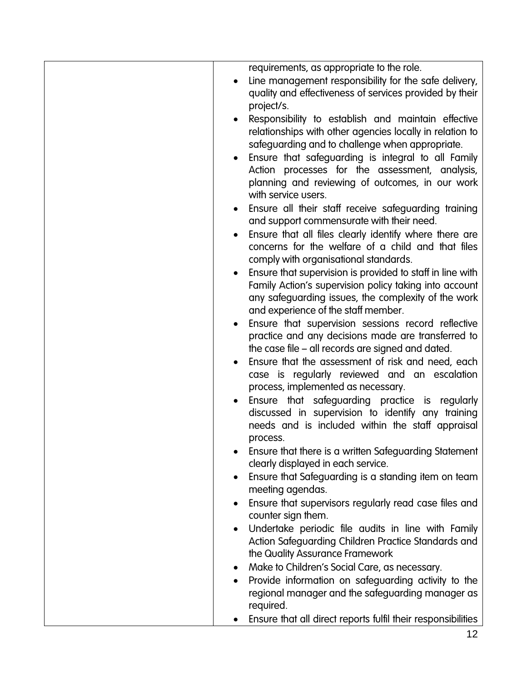|           | requirements, as appropriate to the role.                                                                      |
|-----------|----------------------------------------------------------------------------------------------------------------|
|           | Line management responsibility for the safe delivery,                                                          |
|           | quality and effectiveness of services provided by their                                                        |
|           | project/s.                                                                                                     |
| $\bullet$ | Responsibility to establish and maintain effective<br>relationships with other agencies locally in relation to |
|           | safeguarding and to challenge when appropriate.                                                                |
| $\bullet$ | Ensure that safeguarding is integral to all Family                                                             |
|           | Action processes for the assessment, analysis,                                                                 |
|           | planning and reviewing of outcomes, in our work                                                                |
|           | with service users.                                                                                            |
| $\bullet$ | Ensure all their staff receive safeguarding training                                                           |
|           | and support commensurate with their need.                                                                      |
| $\bullet$ | Ensure that all files clearly identify where there are<br>concerns for the welfare of a child and that files   |
|           | comply with organisational standards.                                                                          |
| $\bullet$ | Ensure that supervision is provided to staff in line with                                                      |
|           | Family Action's supervision policy taking into account                                                         |
|           | any safeguarding issues, the complexity of the work                                                            |
|           | and experience of the staff member.                                                                            |
|           | Ensure that supervision sessions record reflective<br>practice and any decisions made are transferred to       |
|           | the case file – all records are signed and dated.                                                              |
| $\bullet$ | Ensure that the assessment of risk and need, each                                                              |
|           | case is regularly reviewed and an escalation                                                                   |
|           | process, implemented as necessary.                                                                             |
| $\bullet$ | Ensure that safeguarding practice is regularly                                                                 |
|           | discussed in supervision to identify any training                                                              |
|           | needs and is included within the staff appraisal<br>process.                                                   |
|           | Ensure that there is a written Safeguarding Statement                                                          |
|           | clearly displayed in each service.                                                                             |
| $\bullet$ | Ensure that Safeguarding is a standing item on team                                                            |
|           | meeting agendas.                                                                                               |
| $\bullet$ | Ensure that supervisors regularly read case files and                                                          |
|           | counter sign them.                                                                                             |
| $\bullet$ | Undertake periodic file audits in line with Family<br>Action Safeguarding Children Practice Standards and      |
|           | the Quality Assurance Framework                                                                                |
| ٠         | Make to Children's Social Care, as necessary.                                                                  |
|           | Provide information on safeguarding activity to the                                                            |
|           | regional manager and the safeguarding manager as                                                               |
|           | required.                                                                                                      |
|           | Ensure that all direct reports fulfil their responsibilities                                                   |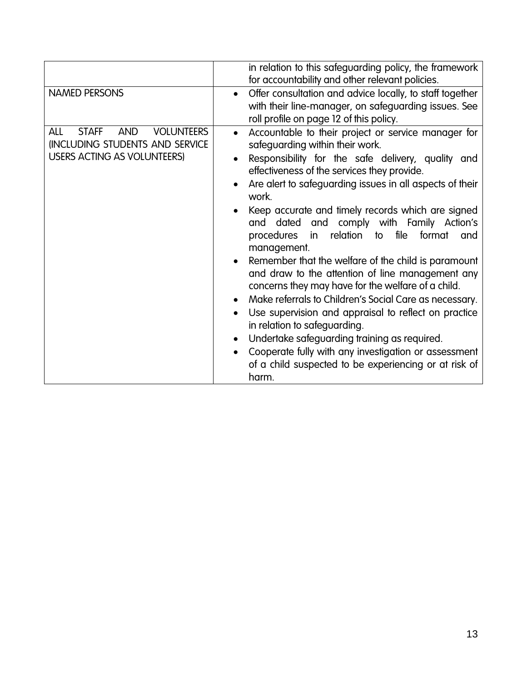| <b>NAMED PERSONS</b>                                                                                                                   | in relation to this safeguarding policy, the framework<br>for accountability and other relevant policies.<br>Offer consultation and advice locally, to staff together<br>$\bullet$<br>with their line-manager, on safeguarding issues. See                                                                                                                                                                                                                                                                                                                                                                                                                                                                                                                                                                                                                                                                                                                                                              |
|----------------------------------------------------------------------------------------------------------------------------------------|---------------------------------------------------------------------------------------------------------------------------------------------------------------------------------------------------------------------------------------------------------------------------------------------------------------------------------------------------------------------------------------------------------------------------------------------------------------------------------------------------------------------------------------------------------------------------------------------------------------------------------------------------------------------------------------------------------------------------------------------------------------------------------------------------------------------------------------------------------------------------------------------------------------------------------------------------------------------------------------------------------|
| <b>ALL</b><br><b>STAFF</b><br><b>AND</b><br><b>VOLUNTEERS</b><br>(INCLUDING STUDENTS AND SERVICE<br><b>USERS ACTING AS VOLUNTEERS)</b> | roll profile on page 12 of this policy.<br>Accountable to their project or service manager for<br>$\bullet$<br>safeguarding within their work.<br>Responsibility for the safe delivery, quality and<br>effectiveness of the services they provide.<br>Are alert to safeguarding issues in all aspects of their<br>work.<br>Keep accurate and timely records which are signed<br>and comply with Family Action's<br>and dated<br>file<br>relation<br>procedures<br>format<br>to<br>in<br>and<br>management.<br>Remember that the welfare of the child is paramount<br>and draw to the attention of line management any<br>concerns they may have for the welfare of a child.<br>Make referrals to Children's Social Care as necessary.<br>Use supervision and appraisal to reflect on practice<br>in relation to safeguarding.<br>Undertake safeguarding training as required.<br>Cooperate fully with any investigation or assessment<br>of a child suspected to be experiencing or at risk of<br>harm. |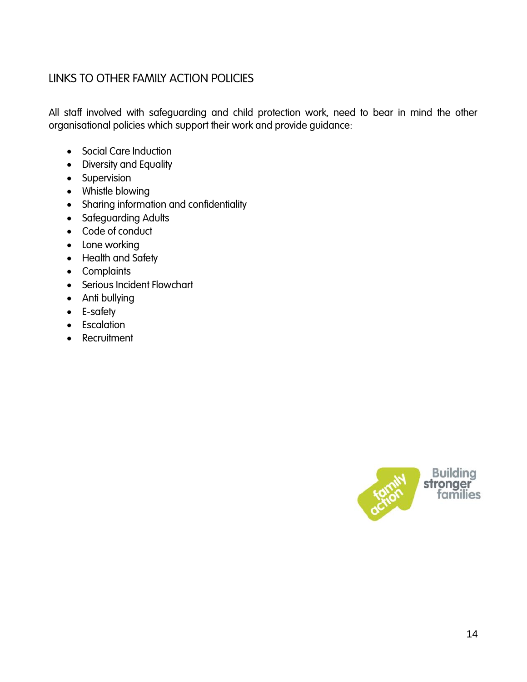## <span id="page-13-0"></span>LINKS TO OTHER FAMILY ACTION POLICIES

All staff involved with safeguarding and child protection work, need to bear in mind the other organisational policies which support their work and provide guidance:

- Social Care Induction
- Diversity and Equality
- **•** Supervision
- Whistle blowing
- Sharing information and confidentiality
- **•** Safeguarding Adults
- Code of conduct
- Lone working
- Health and Safety
- Complaints
- Serious Incident Flowchart
- Anti bullying
- E-safety
- **•** Escalation
- Recruitment

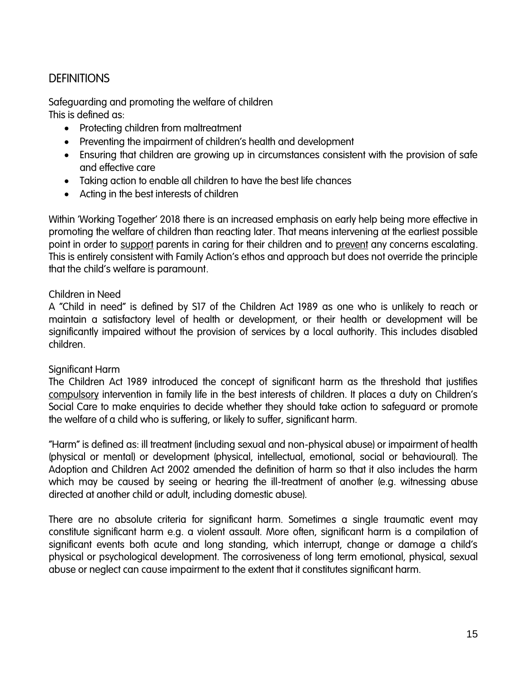## <span id="page-14-0"></span>**DEFINITIONS**

<span id="page-14-1"></span>Safeguarding and promoting the welfare of children This is defined as:

- Protecting children from maltreatment
- Preventing the impairment of children's health and development
- Ensuring that children are growing up in circumstances consistent with the provision of safe and effective care
- Taking action to enable all children to have the best life chances
- Acting in the best interests of children

Within 'Working Together' 2018 there is an increased emphasis on early help being more effective in promoting the welfare of children than reacting later. That means intervening at the earliest possible point in order to support parents in caring for their children and to prevent any concerns escalating. This is entirely consistent with Family Action's ethos and approach but does not override the principle that the child's welfare is paramount.

#### <span id="page-14-2"></span>Children in Need

A "Child in need" is defined by S17 of the Children Act 1989 as one who is unlikely to reach or maintain a satisfactory level of health or development, or their health or development will be significantly impaired without the provision of services by a local authority. This includes disabled children.

#### <span id="page-14-3"></span>Significant Harm

The Children Act 1989 introduced the concept of significant harm as the threshold that justifies compulsory intervention in family life in the best interests of children. It places a duty on Children's Social Care to make enquiries to decide whether they should take action to safeguard or promote the welfare of a child who is suffering, or likely to suffer, significant harm.

"Harm" is defined as: ill treatment (including sexual and non-physical abuse) or impairment of health (physical or mental) or development (physical, intellectual, emotional, social or behavioural). The Adoption and Children Act 2002 amended the definition of harm so that it also includes the harm which may be caused by seeing or hearing the ill-treatment of another (e.g. witnessing abuse directed at another child or adult, including domestic abuse).

There are no absolute criteria for significant harm. Sometimes a single traumatic event may constitute significant harm e.g. a violent assault. More often, significant harm is a compilation of significant events both acute and long standing, which interrupt, change or damage a child's physical or psychological development. The corrosiveness of long term emotional, physical, sexual abuse or neglect can cause impairment to the extent that it constitutes significant harm.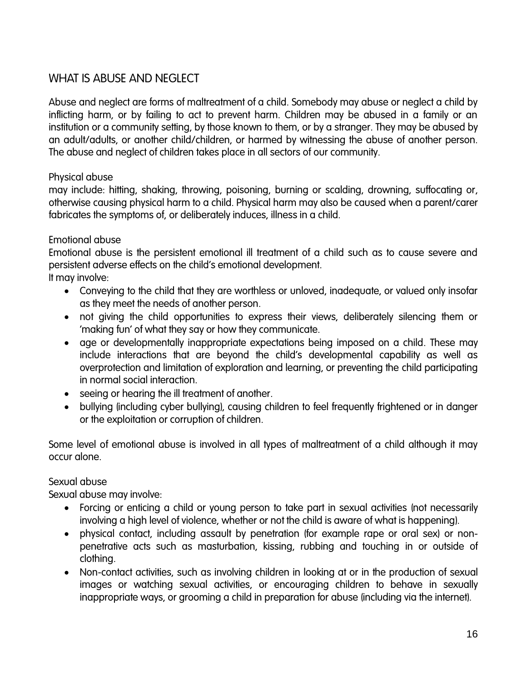## <span id="page-15-0"></span>WHAT IS ABUSE AND NEGLECT

Abuse and neglect are forms of maltreatment of a child. Somebody may abuse or neglect a child by inflicting harm, or by failing to act to prevent harm. Children may be abused in a family or an institution or a community setting, by those known to them, or by a stranger. They may be abused by an adult/adults, or another child/children, or harmed by witnessing the abuse of another person. The abuse and neglect of children takes place in all sectors of our community.

#### <span id="page-15-1"></span>Physical abuse

may include: hitting, shaking, throwing, poisoning, burning or scalding, drowning, suffocating or, otherwise causing physical harm to a child. Physical harm may also be caused when a parent/carer fabricates the symptoms of, or deliberately induces, illness in a child.

#### <span id="page-15-2"></span>Emotional abuse

Emotional abuse is the persistent emotional ill treatment of a child such as to cause severe and persistent adverse effects on the child's emotional development. It may involve:

- Conveying to the child that they are worthless or unloved, inadequate, or valued only insofar as they meet the needs of another person.
- not giving the child opportunities to express their views, deliberately silencing them or 'making fun' of what they say or how they communicate.
- age or developmentally inappropriate expectations being imposed on a child. These may include interactions that are beyond the child's developmental capability as well as overprotection and limitation of exploration and learning, or preventing the child participating in normal social interaction.
- seeing or hearing the ill treatment of another.
- bullying (including cyber bullying), causing children to feel frequently frightened or in danger or the exploitation or corruption of children.

Some level of emotional abuse is involved in all types of maltreatment of a child although it may occur alone.

#### <span id="page-15-3"></span>Sexual abuse

Sexual abuse may involve:

- Forcing or enticing a child or young person to take part in sexual activities (not necessarily involving a high level of violence, whether or not the child is aware of what is happening).
- physical contact, including assault by penetration (for example rape or oral sex) or nonpenetrative acts such as masturbation, kissing, rubbing and touching in or outside of clothing.
- Non-contact activities, such as involving children in looking at or in the production of sexual images or watching sexual activities, or encouraging children to behave in sexually inappropriate ways, or grooming a child in preparation for abuse (including via the internet).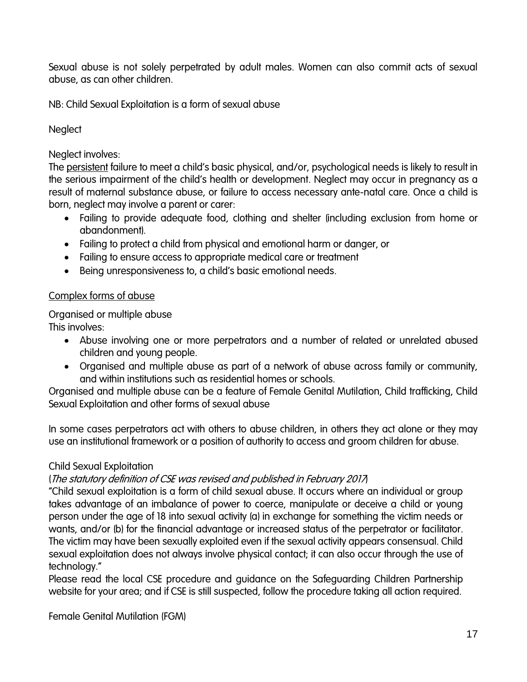Sexual abuse is not solely perpetrated by adult males. Women can also commit acts of sexual abuse, as can other children.

NB: Child Sexual Exploitation is a form of sexual abuse

#### <span id="page-16-0"></span>**Neglect**

#### Neglect involves:

The persistent failure to meet a child's basic physical, and/or, psychological needs is likely to result in the serious impairment of the child's health or development. Neglect may occur in pregnancy as a result of maternal substance abuse, or failure to access necessary ante-natal care. Once a child is born, neglect may involve a parent or carer:

- Failing to provide adequate food, clothing and shelter (including exclusion from home or abandonment).
- Failing to protect a child from physical and emotional harm or danger, or
- Failing to ensure access to appropriate medical care or treatment
- Being unresponsiveness to, a child's basic emotional needs.

#### <span id="page-16-1"></span>Complex forms of abuse

<span id="page-16-2"></span>Organised or multiple abuse

This involves:

- Abuse involving one or more perpetrators and a number of related or unrelated abused children and young people.
- Organised and multiple abuse as part of a network of abuse across family or community, and within institutions such as residential homes or schools.

Organised and multiple abuse can be a feature of Female Genital Mutilation, Child trafficking, Child Sexual Exploitation and other forms of sexual abuse

In some cases perpetrators act with others to abuse children, in others they act alone or they may use an institutional framework or a position of authority to access and groom children for abuse.

#### <span id="page-16-3"></span>Child Sexual Exploitation

#### (The statutory definition of CSE was revised and published in February 2017)

"Child sexual exploitation is a form of child sexual abuse. It occurs where an individual or group takes advantage of an imbalance of power to coerce, manipulate or deceive a child or young person under the age of 18 into sexual activity (a) in exchange for something the victim needs or wants, and/or (b) for the financial advantage or increased status of the perpetrator or facilitator. The victim may have been sexually exploited even if the sexual activity appears consensual. Child sexual exploitation does not always involve physical contact; it can also occur through the use of technology."

Please read the local CSE procedure and guidance on the Safeguarding Children Partnership website for your area; and if CSE is still suspected, follow the procedure taking all action required.

<span id="page-16-4"></span>Female Genital Mutilation (FGM)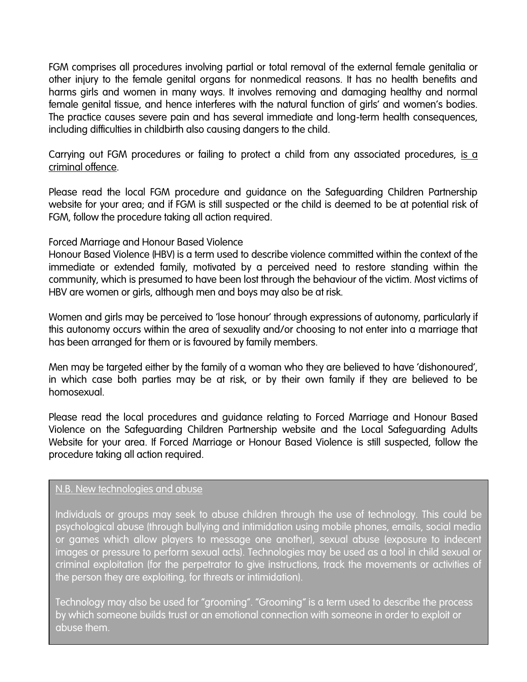FGM comprises all procedures involving partial or total removal of the external female genitalia or other injury to the female genital organs for nonmedical reasons. It has no health benefits and harms girls and women in many ways. It involves removing and damaging healthy and normal female genital tissue, and hence interferes with the natural function of girls' and women's bodies. The practice causes severe pain and has several immediate and long-term health consequences, including difficulties in childbirth also causing dangers to the child.

Carrying out FGM procedures or failing to protect a child from any associated procedures, is a criminal offence.

Please read the local FGM procedure and guidance on the Safeguarding Children Partnership website for your area; and if FGM is still suspected or the child is deemed to be at potential risk of FGM, follow the procedure taking all action required.

#### <span id="page-17-0"></span>Forced Marriage and Honour Based Violence

Honour Based Violence (HBV) is a term used to describe violence committed within the context of the immediate or extended family, motivated by a perceived need to restore standing within the community, which is presumed to have been lost through the behaviour of the victim. Most victims of HBV are women or girls, although men and boys may also be at risk.

Women and girls may be perceived to 'lose honour' through expressions of autonomy, particularly if this autonomy occurs within the area of sexuality and/or choosing to not enter into a marriage that has been arranged for them or is favoured by family members.

Men may be targeted either by the family of a woman who they are believed to have 'dishonoured', in which case both parties may be at risk, or by their own family if they are believed to be homosexual.

Please read the local procedures and guidance relating to Forced Marriage and Honour Based Violence on the Safeguarding Children Partnership website and the Local Safeguarding Adults Website for your area. If Forced Marriage or Honour Based Violence is still suspected, follow the procedure taking all action required.

#### N.B. New technologies and abuse

Individuals or groups may seek to abuse children through the use of technology. This could be psychological abuse (through bullying and intimidation using mobile phones, emails, social media or games which allow players to message one another), sexual abuse (exposure to indecent images or pressure to perform sexual acts). Technologies may be used as a tool in child sexual or criminal exploitation (for the perpetrator to give instructions, track the movements or activities of the person they are exploiting, for threats or intimidation).

Technology may also be used for "grooming". "Grooming" is a term used to describe the process by which someone builds trust or an emotional connection with someone in order to exploit or abuse them.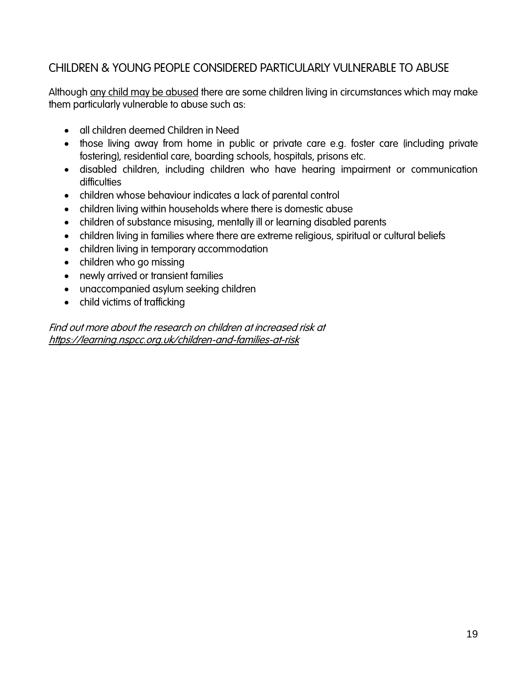## <span id="page-18-0"></span>CHILDREN & YOUNG PEOPLE CONSIDERED PARTICULARLY VULNERABLE TO ABUSE

Although any child may be abused there are some children living in circumstances which may make them particularly vulnerable to abuse such as:

- all children deemed Children in Need
- those living away from home in public or private care e.g. foster care (including private fostering), residential care, boarding schools, hospitals, prisons etc.
- disabled children, including children who have hearing impairment or communication difficulties
- children whose behaviour indicates a lack of parental control
- children living within households where there is domestic abuse
- children of substance misusing, mentally ill or learning disabled parents
- children living in families where there are extreme religious, spiritual or cultural beliefs
- children living in temporary accommodation
- children who go missing
- newly arrived or transient families
- unaccompanied asylum seeking children
- child victims of trafficking

Find out more about the research on children at increased risk at <https://learning.nspcc.org.uk/children-and-families-at-risk>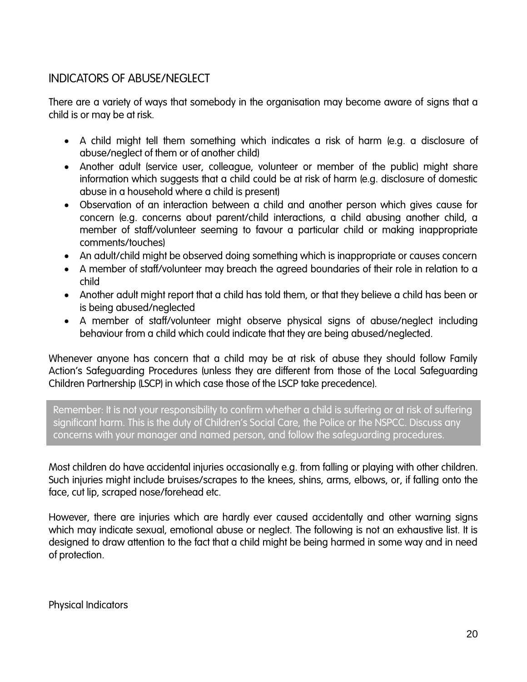## <span id="page-19-0"></span>INDICATORS OF ABUSE/NEGLECT

There are a variety of ways that somebody in the organisation may become aware of signs that a child is or may be at risk.

- A child might tell them something which indicates a risk of harm (e.g. a disclosure of abuse/neglect of them or of another child)
- Another adult (service user, colleague, volunteer or member of the public) might share information which suggests that a child could be at risk of harm (e.g. disclosure of domestic abuse in a household where a child is present)
- Observation of an interaction between a child and another person which gives cause for concern (e.g. concerns about parent/child interactions, a child abusing another child, a member of staff/volunteer seeming to favour a particular child or making inappropriate comments/touches)
- An adult/child might be observed doing something which is inappropriate or causes concern
- A member of staff/volunteer may breach the agreed boundaries of their role in relation to a child
- Another adult might report that a child has told them, or that they believe a child has been or is being abused/neglected
- A member of staff/volunteer might observe physical signs of abuse/neglect including behaviour from a child which could indicate that they are being abused/neglected.

Whenever anyone has concern that a child may be at risk of abuse they should follow Family Action's Safeguarding Procedures (unless they are different from those of the Local Safeguarding Children Partnership (LSCP) in which case those of the LSCP take precedence).

Remember: It is not your responsibility to confirm whether a child is suffering or at risk of suffering significant harm. This is the duty of Children's Social Care, the Police or the NSPCC. Discuss any concerns with your manager and named person, and follow the safeguarding procedures.

Most children do have accidental injuries occasionally e.g. from falling or playing with other children. Such injuries might include bruises/scrapes to the knees, shins, arms, elbows, or, if falling onto the face, cut lip, scraped nose/forehead etc.

However, there are injuries which are hardly ever caused accidentally and other warning signs which may indicate sexual, emotional abuse or neglect. The following is not an exhaustive list. It is designed to draw attention to the fact that a child might be being harmed in some way and in need of protection.

<span id="page-19-1"></span>Physical Indicators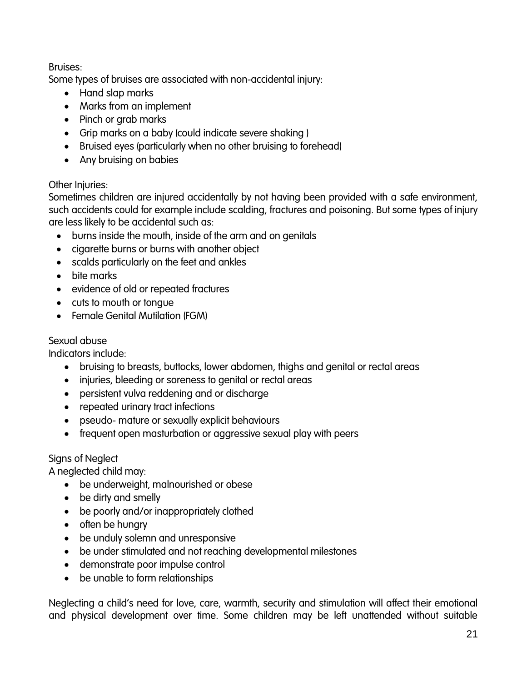#### Bruises:

Some types of bruises are associated with non-accidental injury:

- Hand slap marks
- Marks from an implement
- Pinch or grab marks
- Grip marks on a baby (could indicate severe shaking )
- Bruised eyes (particularly when no other bruising to forehead)
- Any bruising on babies

#### Other Injuries:

Sometimes children are injured accidentally by not having been provided with a safe environment, such accidents could for example include scalding, fractures and poisoning. But some types of injury are less likely to be accidental such as:

- burns inside the mouth, inside of the arm and on genitals
- cigarette burns or burns with another object
- scalds particularly on the feet and ankles
- bite marks
- evidence of old or repeated fractures
- cuts to mouth or tongue
- Female Genital Mutilation (FGM)

#### <span id="page-20-0"></span>Sexual abuse

Indicators include:

- bruising to breasts, buttocks, lower abdomen, thighs and genital or rectal areas
- injuries, bleeding or soreness to genital or rectal areas
- persistent vulva reddening and or discharge
- repeated urinary tract infections
- pseudo- mature or sexually explicit behaviours
- frequent open masturbation or aggressive sexual play with peers

#### <span id="page-20-1"></span>Signs of Neglect

A neglected child may:

- be underweight, malnourished or obese
- be dirty and smelly
- be poorly and/or inappropriately clothed
- $\bullet$  often be hungry
- be unduly solemn and unresponsive
- be under stimulated and not reaching developmental milestones
- demonstrate poor impulse control
- be unable to form relationships

Neglecting a child's need for love, care, warmth, security and stimulation will affect their emotional and physical development over time. Some children may be left unattended without suitable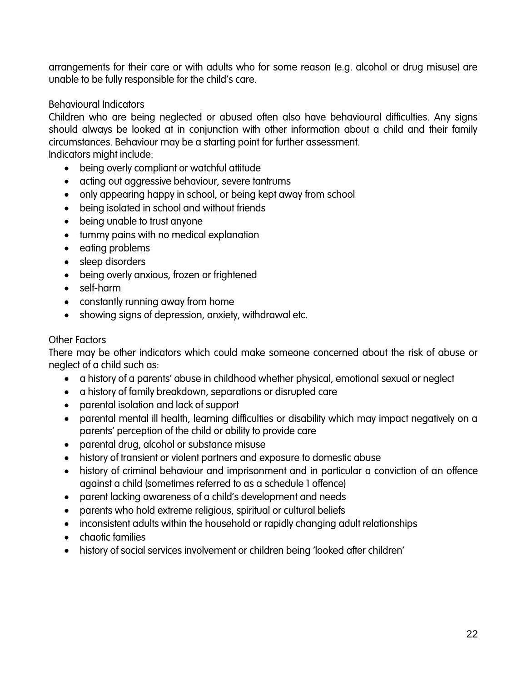arrangements for their care or with adults who for some reason (e.g. alcohol or drug misuse) are unable to be fully responsible for the child's care.

#### <span id="page-21-0"></span>Behavioural Indicators

Children who are being neglected or abused often also have behavioural difficulties. Any signs should always be looked at in conjunction with other information about a child and their family circumstances. Behaviour may be a starting point for further assessment.

Indicators might include:

- being overly compliant or watchful attitude
- acting out aggressive behaviour, severe tantrums
- only appearing happy in school, or being kept away from school
- being isolated in school and without friends
- being unable to trust anyone
- tummy pains with no medical explanation
- eating problems
- sleep disorders
- being overly anxious, frozen or frightened
- self-harm
- constantly running away from home
- showing signs of depression, anxiety, withdrawal etc.

#### <span id="page-21-1"></span>Other Factors

There may be other indicators which could make someone concerned about the risk of abuse or neglect of a child such as:

- a history of a parents' abuse in childhood whether physical, emotional sexual or neglect
- a history of family breakdown, separations or disrupted care
- parental isolation and lack of support
- parental mental ill health, learning difficulties or disability which may impact negatively on a parents' perception of the child or ability to provide care
- parental drug, alcohol or substance misuse
- history of transient or violent partners and exposure to domestic abuse
- history of criminal behaviour and imprisonment and in particular a conviction of an offence against a child (sometimes referred to as a schedule 1 offence)
- parent lacking awareness of a child's development and needs
- parents who hold extreme religious, spiritual or cultural beliefs
- inconsistent adults within the household or rapidly changing adult relationships
- chaotic families
- history of social services involvement or children being 'looked after children'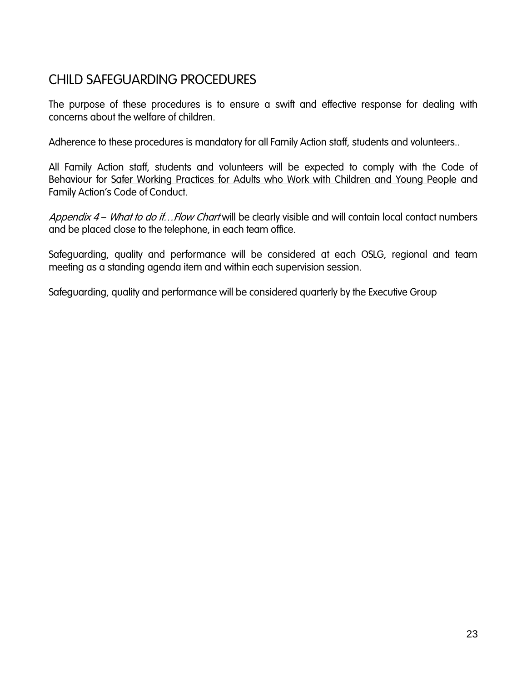## <span id="page-22-0"></span>CHILD SAFEGUARDING PROCEDURES

The purpose of these procedures is to ensure a swift and effective response for dealing with concerns about the welfare of children.

Adherence to these procedures is mandatory for all Family Action staff, students and volunteers..

All Family Action staff, students and volunteers will be expected to comply with the Code of Behaviour for [Safer Working Practices for Adults who Work with Children and Young People](http://cheshirewestlscb.org.uk/wp-content/uploads/2015/06/Guidance-for-Safer-Working-Practice-reduced.pdf) and Family Action's Code of Conduct.

Appendix 4 – What to do if... Flow Chart will be clearly visible and will contain local contact numbers and be placed close to the telephone, in each team office.

Safeguarding, quality and performance will be considered at each OSLG, regional and team meeting as a standing agenda item and within each supervision session.

Safeguarding, quality and performance will be considered quarterly by the Executive Group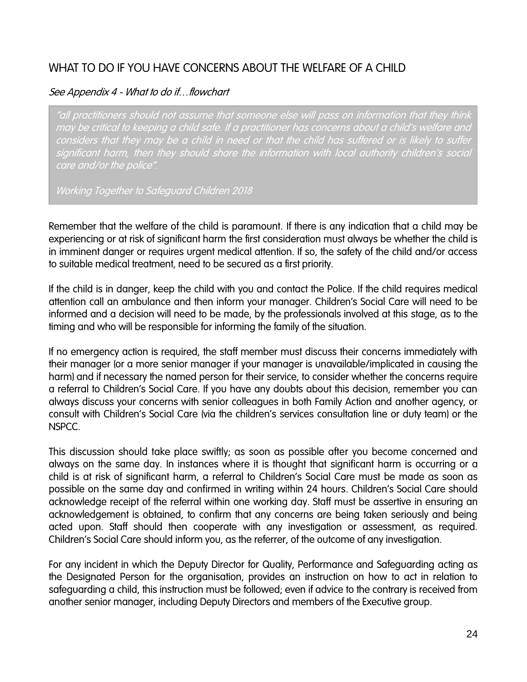## <span id="page-23-0"></span>WHAT TO DO IF YOU HAVE CONCERNS ABOUT THE WELFARE OF A CHILD

#### See Appendix 4 - What to do if... flowchart

"all practitioners should not assume that someone else will pass on information that they think may be critical to keeping a child safe. If a practitioner has concerns about a child's welfare and considers that they may be a child in need or that the child has suffered or is likely to suffer significant harm, then they should share the information with local authority children's social care and/or the police".

Working Together to Safeguard Children 2018

Remember that the welfare of the child is paramount. If there is any indication that a child may be experiencing or at risk of significant harm the first consideration must always be whether the child is in imminent danger or requires urgent medical attention. If so, the safety of the child and/or access to suitable medical treatment, need to be secured as a first priority.

If the child is in danger, keep the child with you and contact the Police. If the child requires medical attention call an ambulance and then inform your manager. Children's Social Care will need to be informed and a decision will need to be made, by the professionals involved at this stage, as to the timing and who will be responsible for informing the family of the situation.

If no emergency action is required, the staff member must discuss their concerns immediately with their manager (or a more senior manager if your manager is unavailable/implicated in causing the harm) and if necessary the named person for their service, to consider whether the concerns require a referral to Children's Social Care. If you have any doubts about this decision, remember you can always discuss your concerns with senior colleagues in both Family Action and another agency, or consult with Children's Social Care (via the children's services consultation line or duty team) or the NSPCC.

This discussion should take place swiftly; as soon as possible after you become concerned and always on the same day. In instances where it is thought that significant harm is occurring or a child is at risk of significant harm, a referral to Children's Social Care must be made as soon as possible on the same day and confirmed in writing within 24 hours. Children's Social Care should acknowledge receipt of the referral within one working day. Staff must be assertive in ensuring an acknowledgement is obtained, to confirm that any concerns are being taken seriously and being acted upon. Staff should then cooperate with any investigation or assessment, as required. Children's Social Care should inform you, as the referrer, of the outcome of any investigation.

For any incident in which the Deputy Director for Quality, Performance and Safeguarding acting as the Designated Person for the organisation, provides an instruction on how to act in relation to safeguarding a child, this instruction must be followed; even if advice to the contrary is received from another senior manager, including Deputy Directors and members of the Executive group.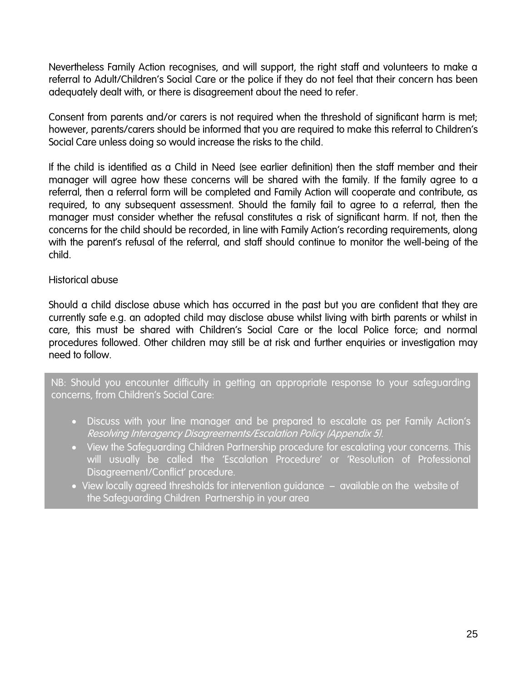Nevertheless Family Action recognises, and will support, the right staff and volunteers to make a referral to Adult/Children's Social Care or the police if they do not feel that their concern has been adequately dealt with, or there is disagreement about the need to refer.

Consent from parents and/or carers is not required when the threshold of significant harm is met; however, parents/carers should be informed that you are required to make this referral to Children's Social Care unless doing so would increase the risks to the child.

If the child is identified as a Child in Need (see earlier definition) then the staff member and their manager will agree how these concerns will be shared with the family. If the family agree to a referral, then a referral form will be completed and Family Action will cooperate and contribute, as required, to any subsequent assessment. Should the family fail to agree to a referral, then the manager must consider whether the refusal constitutes a risk of significant harm. If not, then the concerns for the child should be recorded, in line with Family Action's recording requirements, along with the parent's refusal of the referral, and staff should continue to monitor the well-being of the child.

#### Historical abuse

Should a child disclose abuse which has occurred in the past but you are confident that they are currently safe e.g. an adopted child may disclose abuse whilst living with birth parents or whilst in care, this must be shared with Children's Social Care or the local Police force; and normal procedures followed. Other children may still be at risk and further enquiries or investigation may need to follow.

NB: Should you encounter difficulty in getting an appropriate response to your safeguarding concerns, from Children's Social Care:

- Discuss with your line manager and be prepared to escalate as per Family Action's Resolving Interagency Disagreements/Escalation Policy (Appendix 5).
- View the Safeguarding Children Partnership procedure for escalating your concerns. This will usually be called the 'Escalation Procedure' or 'Resolution of Professional Disagreement/Conflict' procedure.
- View locally agreed thresholds for intervention guidance available on the website of the Safeguarding Children Partnership in your area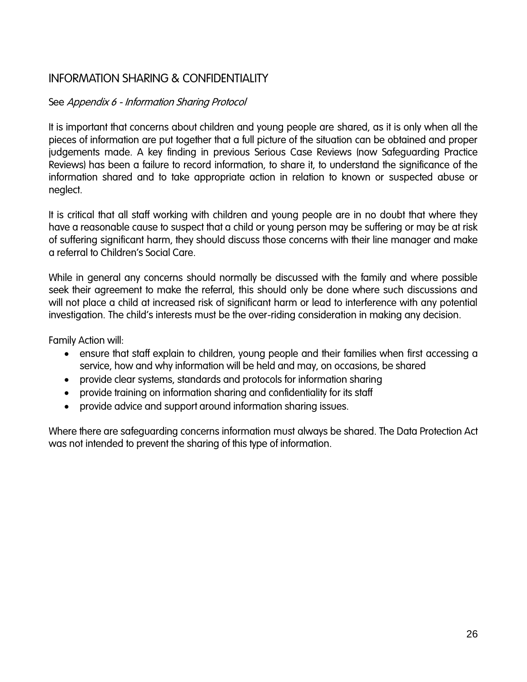## <span id="page-25-0"></span>INFORMATION SHARING & CONFIDENTIALITY

#### See Appendix 6 - Information Sharing Protocol

It is important that concerns about children and young people are shared, as it is only when all the pieces of information are put together that a full picture of the situation can be obtained and proper judgements made. A key finding in previous Serious Case Reviews (now Safeguarding Practice Reviews) has been a failure to record information, to share it, to understand the significance of the information shared and to take appropriate action in relation to known or suspected abuse or neglect.

It is critical that all staff working with children and young people are in no doubt that where they have a reasonable cause to suspect that a child or young person may be suffering or may be at risk of suffering significant harm, they should discuss those concerns with their line manager and make a referral to Children's Social Care.

While in general any concerns should normally be discussed with the family and where possible seek their agreement to make the referral, this should only be done where such discussions and will not place a child at increased risk of significant harm or lead to interference with any potential investigation. The child's interests must be the over-riding consideration in making any decision.

Family Action will:

- ensure that staff explain to children, young people and their families when first accessing a service, how and why information will be held and may, on occasions, be shared
- provide clear systems, standards and protocols for information sharing
- provide training on information sharing and confidentiality for its staff
- provide advice and support around information sharing issues.

Where there are safeguarding concerns information must always be shared. The Data Protection Act was not intended to prevent the sharing of this type of information.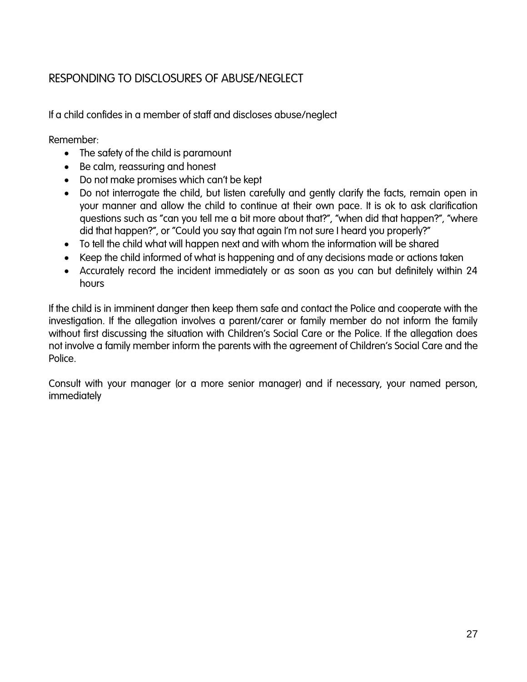## <span id="page-26-0"></span>RESPONDING TO DISCLOSURES OF ABUSE/NEGLECT

If a child confides in a member of staff and discloses abuse/neglect

Remember:

- The safety of the child is paramount
- Be calm, reassuring and honest
- Do not make promises which can't be kept
- Do not interrogate the child, but listen carefully and gently clarify the facts, remain open in your manner and allow the child to continue at their own pace. It is ok to ask clarification questions such as "can you tell me a bit more about that?", "when did that happen?", "where did that happen?", or "Could you say that again I'm not sure I heard you properly?"
- To tell the child what will happen next and with whom the information will be shared
- Keep the child informed of what is happening and of any decisions made or actions taken
- Accurately record the incident immediately or as soon as you can but definitely within 24 hours

If the child is in imminent danger then keep them safe and contact the Police and cooperate with the investigation. If the allegation involves a parent/carer or family member do not inform the family without first discussing the situation with Children's Social Care or the Police. If the allegation does not involve a family member inform the parents with the agreement of Children's Social Care and the Police.

Consult with your manager (or a more senior manager) and if necessary, your named person, immediately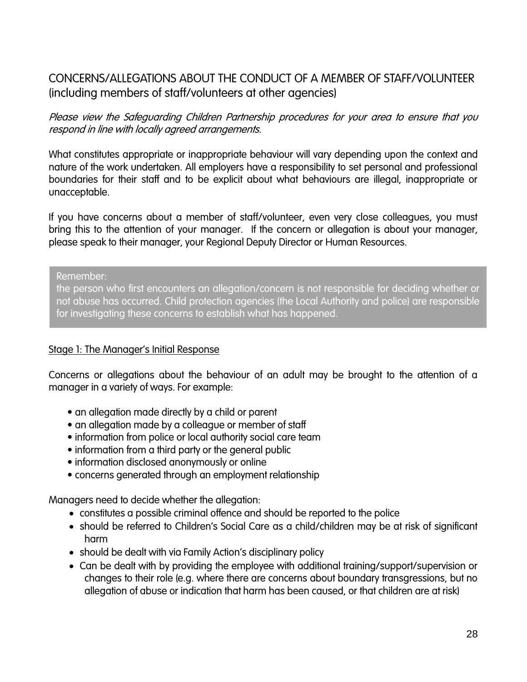## <span id="page-27-0"></span>CONCERNS/ALLEGATIONS ABOUT THE CONDUCT OF A MEMBER OF STAFF/VOLUNTEER (including members of staff/volunteers at other agencies)

Please view the Safeguarding Children Partnership procedures for your area to ensure that you respond in line with locally agreed arrangements.

What constitutes appropriate or inappropriate behaviour will vary depending upon the context and nature of the work undertaken. All employers have a responsibility to set personal and professional boundaries for their staff and to be explicit about what behaviours are illegal, inappropriate or unacceptable.

If you have concerns about a member of staff/volunteer, even very close colleagues, you must bring this to the attention of your manager. If the concern or allegation is about your manager, please speak to their manager, your Regional Deputy Director or Human Resources.

Remember:

the person who first encounters an allegation/concern is not responsible for deciding whether or not abuse has occurred. Child protection agencies (the Local Authority and police) are responsible for investigating these concerns to establish what has happened.

#### Stage 1: The Manager's Initial Response

Concerns or allegations about the behaviour of an adult may be brought to the attention of a manager in a variety of ways. For example:

- an allegation made directly by a child or parent
- an allegation made by a colleague or member of staff
- information from police or local authority social care team
- information from a third party or the general public
- information disclosed anonymously or online
- concerns generated through an employment relationship

Managers need to decide whether the allegation:

- constitutes a possible criminal offence and should be reported to the police
- should be referred to Children's Social Care as a child/children may be at risk of significant harm
- should be dealt with via Family Action's disciplinary policy
- Can be dealt with by providing the employee with additional training/support/supervision or changes to their role (e.g. where there are concerns about boundary transgressions, but no allegation of abuse or indication that harm has been caused, or that children are at risk)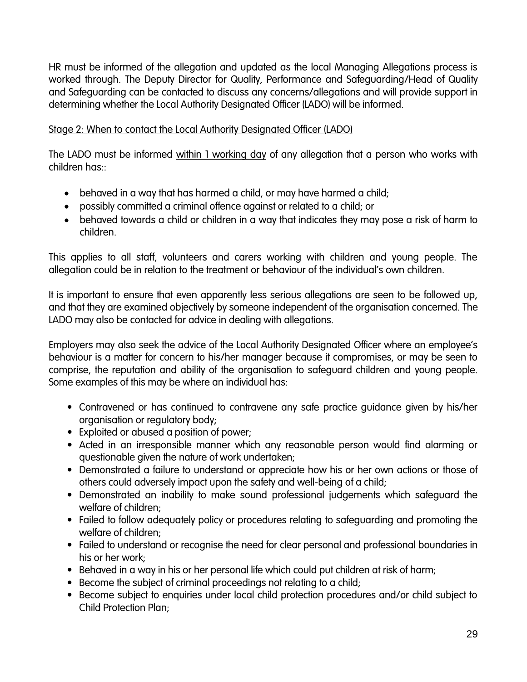HR must be informed of the allegation and updated as the local Managing Allegations process is worked through. The Deputy Director for Quality, Performance and Safeguarding/Head of Quality and Safeguarding can be contacted to discuss any concerns/allegations and will provide support in determining whether the Local Authority Designated Officer (LADO) will be informed.

#### Stage 2: When to contact the Local Authority Designated Officer (LADO)

The LADO must be informed within 1 working day of any allegation that a person who works with children has::

- behaved in a way that has harmed a child, or may have harmed a child;
- possibly committed a criminal offence against or related to a child; or
- behaved towards a child or children in a way that indicates they may pose a risk of harm to children.

This applies to all staff, volunteers and carers working with children and young people. The allegation could be in relation to the treatment or behaviour of the individual's own children.

It is important to ensure that even apparently less serious allegations are seen to be followed up, and that they are examined objectively by someone independent of the organisation concerned. The LADO may also be contacted for advice in dealing with allegations.

Employers may also seek the advice of the Local Authority Designated Officer where an employee's behaviour is a matter for concern to his/her manager because it compromises, or may be seen to comprise, the reputation and ability of the organisation to safeguard children and young people. Some examples of this may be where an individual has:

- Contravened or has continued to contravene any safe practice guidance given by his/her organisation or regulatory body;
- Exploited or abused a position of power;
- Acted in an irresponsible manner which any reasonable person would find alarming or questionable given the nature of work undertaken;
- Demonstrated a failure to understand or appreciate how his or her own actions or those of others could adversely impact upon the safety and well-being of a child;
- Demonstrated an inability to make sound professional judgements which safeguard the welfare of children;
- Failed to follow adequately policy or procedures relating to safeguarding and promoting the welfare of children;
- Failed to understand or recognise the need for clear personal and professional boundaries in his or her work;
- Behaved in a way in his or her personal life which could put children at risk of harm;
- Become the subject of criminal proceedings not relating to a child;
- Become subject to enquiries under local child protection procedures and/or child subject to Child Protection Plan;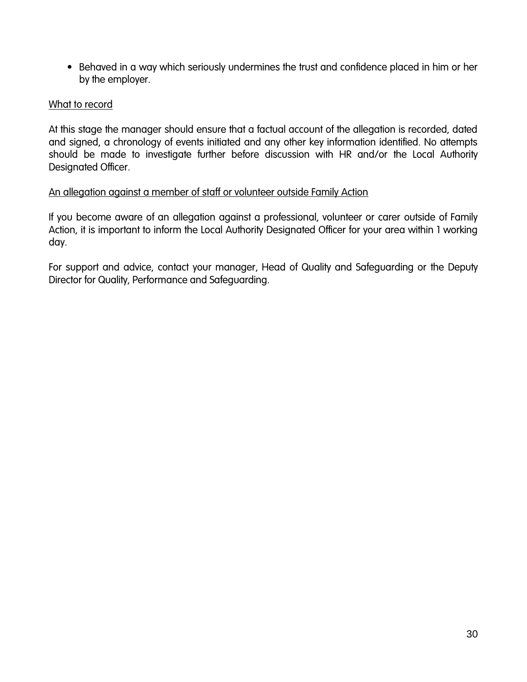• Behaved in a way which seriously undermines the trust and confidence placed in him or her by the employer.

#### What to record

At this stage the manager should ensure that a factual account of the allegation is recorded, dated and signed, a chronology of events initiated and any other key information identified. No attempts should be made to investigate further before discussion with HR and/or the Local Authority Designated Officer.

#### An allegation against a member of staff or volunteer outside Family Action

If you become aware of an allegation against a professional, volunteer or carer outside of Family Action, it is important to inform the Local Authority Designated Officer for your area within 1 working day.

For support and advice, contact your manager, Head of Quality and Safeguarding or the Deputy Director for Quality, Performance and Safeguarding.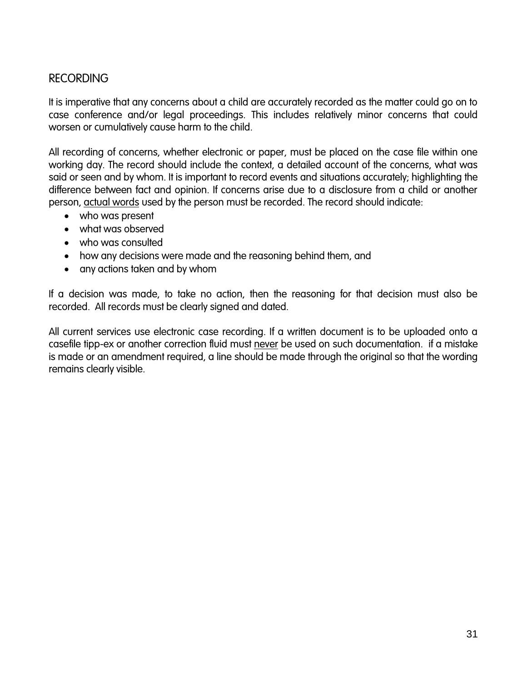### <span id="page-30-0"></span>RECORDING

It is imperative that any concerns about a child are accurately recorded as the matter could go on to case conference and/or legal proceedings. This includes relatively minor concerns that could worsen or cumulatively cause harm to the child.

All recording of concerns, whether electronic or paper, must be placed on the case file within one working day. The record should include the context, a detailed account of the concerns, what was said or seen and by whom. It is important to record events and situations accurately; highlighting the difference between fact and opinion. If concerns arise due to a disclosure from a child or another person, actual words used by the person must be recorded. The record should indicate:

- who was present
- what was observed
- who was consulted
- how any decisions were made and the reasoning behind them, and
- any actions taken and by whom

If a decision was made, to take no action, then the reasoning for that decision must also be recorded. All records must be clearly signed and dated.

All current services use electronic case recording. If a written document is to be uploaded onto a casefile tipp-ex or another correction fluid must never be used on such documentation. if a mistake is made or an amendment required, a line should be made through the original so that the wording remains clearly visible.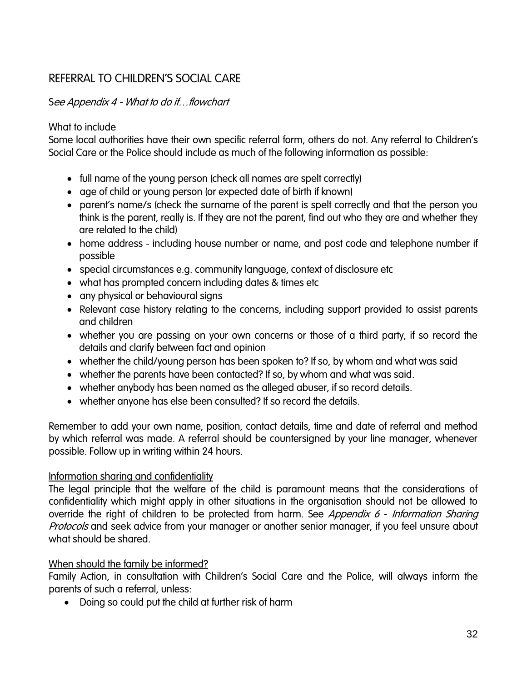## <span id="page-31-0"></span>REFERRAL TO CHILDREN'S SOCIAL CARE

#### See Appendix 4 - What to do if…flowchart

#### What to include

Some local authorities have their own specific referral form, others do not. Any referral to Children's Social Care or the Police should include as much of the following information as possible:

- full name of the young person (check all names are spelt correctly)
- age of child or young person (or expected date of birth if known)
- parent's name/s (check the surname of the parent is spelt correctly and that the person you think is the parent, really is. If they are not the parent, find out who they are and whether they are related to the child)
- home address including house number or name, and post code and telephone number if possible
- special circumstances e.g. community language, context of disclosure etc
- what has prompted concern including dates & times etc
- any physical or behavioural signs
- Relevant case history relating to the concerns, including support provided to assist parents and children
- whether you are passing on your own concerns or those of a third party, if so record the details and clarify between fact and opinion
- whether the child/young person has been spoken to? If so, by whom and what was said
- whether the parents have been contacted? If so, by whom and what was said.
- whether anybody has been named as the alleged abuser, if so record details.
- whether anyone has else been consulted? If so record the details.

Remember to add your own name, position, contact details, time and date of referral and method by which referral was made. A referral should be countersigned by your line manager, whenever possible. Follow up in writing within 24 hours.

#### Information sharing and confidentiality

The legal principle that the welfare of the child is paramount means that the considerations of confidentiality which might apply in other situations in the organisation should not be allowed to override the right of children to be protected from harm. See Appendix 6 - Information Sharing Protocols and seek advice from your manager or another senior manager, if you feel unsure about what should be shared.

#### When should the family be informed?

Family Action, in consultation with Children's Social Care and the Police, will always inform the parents of such a referral, unless:

Doing so could put the child at further risk of harm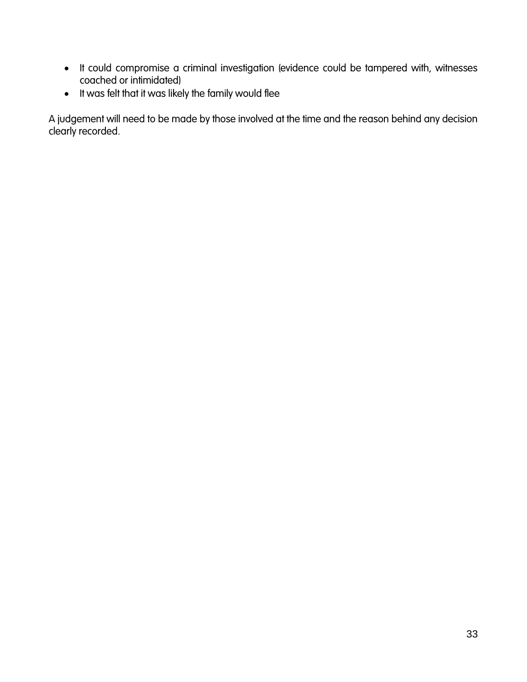- It could compromise a criminal investigation (evidence could be tampered with, witnesses coached or intimidated)
- $\bullet$  It was felt that it was likely the family would flee

A judgement will need to be made by those involved at the time and the reason behind any decision clearly recorded.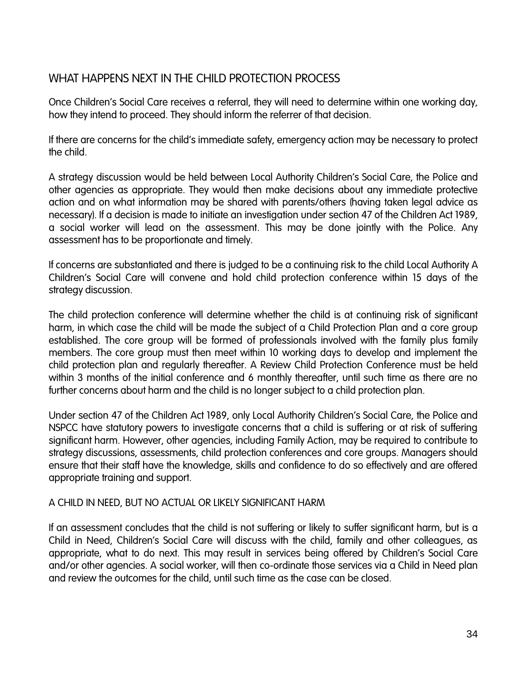## <span id="page-33-0"></span>WHAT HAPPENS NEXT IN THE CHILD PROTECTION PROCESS

Once Children's Social Care receives a referral, they will need to determine within one working day, how they intend to proceed. They should inform the referrer of that decision.

If there are concerns for the child's immediate safety, emergency action may be necessary to protect the child.

A strategy discussion would be held between Local Authority Children's Social Care, the Police and other agencies as appropriate. They would then make decisions about any immediate protective action and on what information may be shared with parents/others (having taken legal advice as necessary). If a decision is made to initiate an investigation under section 47 of the Children Act 1989, a social worker will lead on the assessment. This may be done jointly with the Police. Any assessment has to be proportionate and timely.

If concerns are substantiated and there is judged to be a continuing risk to the child Local Authority A Children's Social Care will convene and hold child protection conference within 15 days of the strategy discussion.

The child protection conference will determine whether the child is at continuing risk of significant harm, in which case the child will be made the subject of a Child Protection Plan and a core group established. The core group will be formed of professionals involved with the family plus family members. The core group must then meet within 10 working days to develop and implement the child protection plan and regularly thereafter. A Review Child Protection Conference must be held within 3 months of the initial conference and 6 monthly thereafter, until such time as there are no further concerns about harm and the child is no longer subject to a child protection plan.

Under section 47 of the Children Act 1989, only Local Authority Children's Social Care, the Police and NSPCC have statutory powers to investigate concerns that a child is suffering or at risk of suffering significant harm. However, other agencies, including Family Action, may be required to contribute to strategy discussions, assessments, child protection conferences and core groups. Managers should ensure that their staff have the knowledge, skills and confidence to do so effectively and are offered appropriate training and support.

#### A CHILD IN NEED, BUT NO ACTUAL OR LIKELY SIGNIFICANT HARM

If an assessment concludes that the child is not suffering or likely to suffer significant harm, but is a Child in Need, Children's Social Care will discuss with the child, family and other colleagues, as appropriate, what to do next. This may result in services being offered by Children's Social Care and/or other agencies. A social worker, will then co-ordinate those services via a Child in Need plan and review the outcomes for the child, until such time as the case can be closed.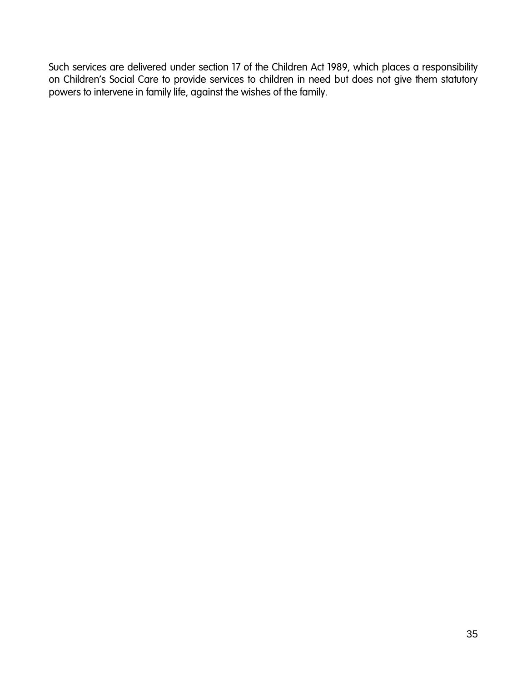<span id="page-34-0"></span>Such services are delivered under section 17 of the Children Act 1989, which places a responsibility on Children's Social Care to provide services to children in need but does not give them statutory powers to intervene in family life, against the wishes of the family.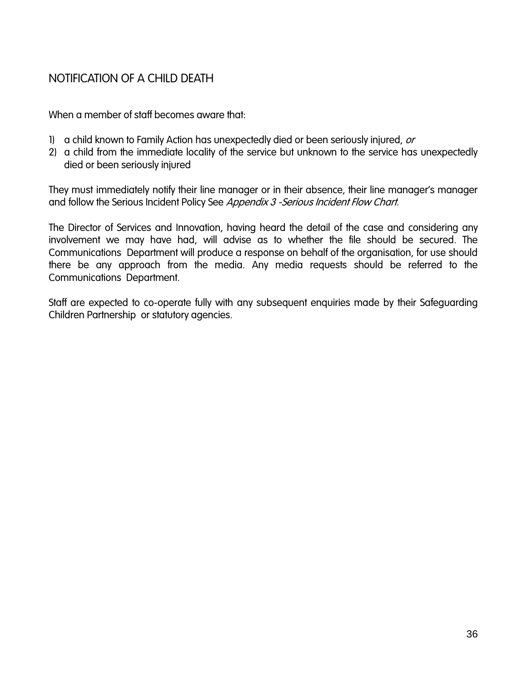## NOTIFICATION OF A CHILD DEATH

When a member of staff becomes aware that:

- 1) a child known to Family Action has unexpectedly died or been seriously injured, or
- 2) a child from the immediate locality of the service but unknown to the service has unexpectedly died or been seriously injured

They must immediately notify their line manager or in their absence, their line manager's manager and follow the Serious Incident Policy See Appendix 3 - Serious Incident Flow Chart.

The Director of Services and Innovation, having heard the detail of the case and considering any involvement we may have had, will advise as to whether the file should be secured. The Communications Department will produce a response on behalf of the organisation, for use should there be any approach from the media. Any media requests should be referred to the Communications Department.

Staff are expected to co-operate fully with any subsequent enquiries made by their Safeguarding Children Partnership or statutory agencies.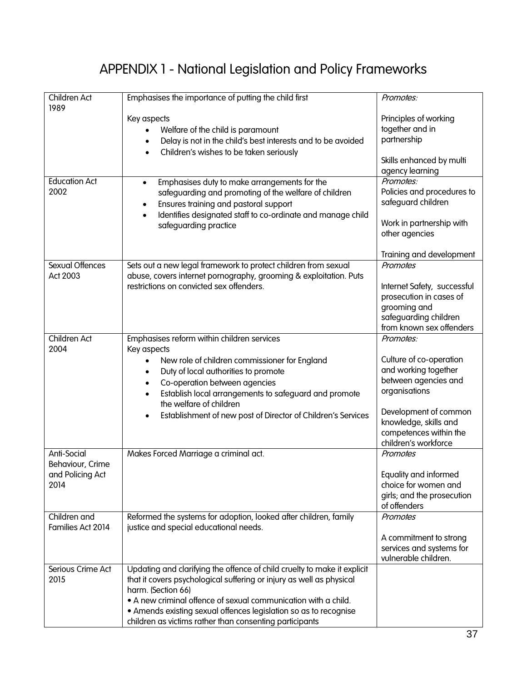## APPENDIX 1 - National Legislation and Policy Frameworks

<span id="page-36-0"></span>

| Children Act<br>1989              | Emphasises the importance of putting the child first                                                                              | Promotes:                   |
|-----------------------------------|-----------------------------------------------------------------------------------------------------------------------------------|-----------------------------|
|                                   | Key aspects                                                                                                                       | Principles of working       |
|                                   |                                                                                                                                   | together and in             |
|                                   | Welfare of the child is paramount                                                                                                 |                             |
|                                   | Delay is not in the child's best interests and to be avoided<br>$\bullet$<br>Children's wishes to be taken seriously<br>$\bullet$ | partnership                 |
|                                   |                                                                                                                                   | Skills enhanced by multi    |
|                                   |                                                                                                                                   | agency learning             |
| <b>Education Act</b>              | Emphasises duty to make arrangements for the<br>$\bullet$                                                                         | Promotes:                   |
| 2002                              | safeguarding and promoting of the welfare of children                                                                             | Policies and procedures to  |
|                                   |                                                                                                                                   | safeguard children          |
|                                   | Ensures training and pastoral support<br>٠                                                                                        |                             |
|                                   | Identifies designated staff to co-ordinate and manage child<br>$\bullet$                                                          |                             |
|                                   | safeguarding practice                                                                                                             | Work in partnership with    |
|                                   |                                                                                                                                   | other agencies              |
|                                   |                                                                                                                                   | Training and development    |
| Sexual Offences                   | Sets out a new legal framework to protect children from sexual                                                                    | Promotes                    |
|                                   |                                                                                                                                   |                             |
| Act 2003                          | abuse, covers internet pornography, grooming & exploitation. Puts                                                                 |                             |
|                                   | restrictions on convicted sex offenders.                                                                                          | Internet Safety, successful |
|                                   |                                                                                                                                   | prosecution in cases of     |
|                                   |                                                                                                                                   | grooming and                |
|                                   |                                                                                                                                   | safeguarding children       |
|                                   |                                                                                                                                   | from known sex offenders    |
| <b>Children Act</b>               | Emphasises reform within children services                                                                                        | Promotes:                   |
| 2004                              | Key aspects                                                                                                                       |                             |
|                                   | New role of children commissioner for England<br>$\bullet$                                                                        | Culture of co-operation     |
|                                   |                                                                                                                                   | and working together        |
|                                   | Duty of local authorities to promote<br>$\bullet$                                                                                 | between agencies and        |
|                                   | Co-operation between agencies<br>$\bullet$                                                                                        |                             |
|                                   | Establish local arrangements to safeguard and promote<br>$\bullet$<br>the welfare of children                                     | organisations               |
|                                   | Establishment of new post of Director of Children's Services<br>$\bullet$                                                         | Development of common       |
|                                   |                                                                                                                                   | knowledge, skills and       |
|                                   |                                                                                                                                   | competences within the      |
|                                   |                                                                                                                                   | children's workforce        |
| Anti-Social                       | Makes Forced Marriage a criminal act.                                                                                             | Promotes                    |
| Behaviour, Crime                  |                                                                                                                                   |                             |
| and Policing Act                  |                                                                                                                                   | Equality and informed       |
| 2014                              |                                                                                                                                   | choice for women and        |
|                                   |                                                                                                                                   | girls; and the prosecution  |
|                                   |                                                                                                                                   | of offenders                |
|                                   |                                                                                                                                   |                             |
| Children and<br>Families Act 2014 | Reformed the systems for adoption, looked after children, family                                                                  | Promotes                    |
|                                   | justice and special educational needs.                                                                                            |                             |
|                                   |                                                                                                                                   | A commitment to strong      |
|                                   |                                                                                                                                   | services and systems for    |
|                                   |                                                                                                                                   | vulnerable children.        |
| Serious Crime Act                 | Updating and clarifying the offence of child cruelty to make it explicit                                                          |                             |
| 2015                              | that it covers psychological suffering or injury as well as physical                                                              |                             |
|                                   | harm. (Section 66)                                                                                                                |                             |
|                                   | • A new criminal offence of sexual communication with a child.                                                                    |                             |
|                                   | • Amends existing sexual offences legislation so as to recognise                                                                  |                             |
|                                   | children as victims rather than consenting participants                                                                           |                             |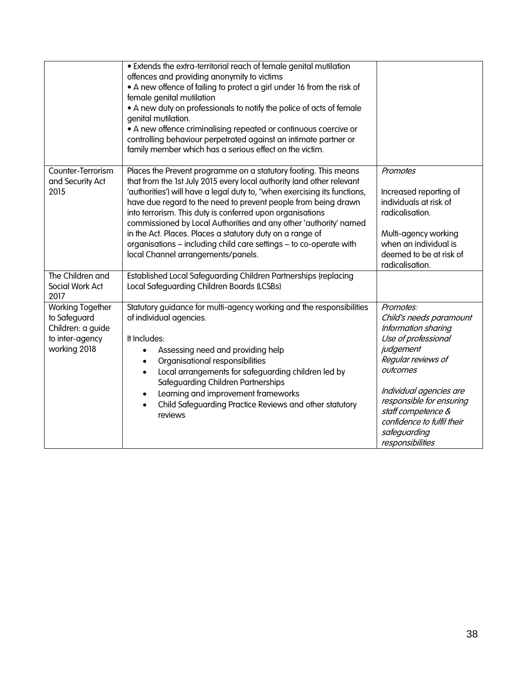|                                                                                                 | • Extends the extra-territorial reach of female genital mutilation<br>offences and providing anonymity to victims<br>• A new offence of failing to protect a girl under 16 from the risk of<br>female genital mutilation<br>• A new duty on professionals to notify the police of acts of female<br>genital mutilation.<br>• A new offence criminalising repeated or continuous coercive or<br>controlling behaviour perpetrated against an intimate partner or<br>family member which has a serious effect on the victim.                                                                         |                                                                                                                                                                                                                                                                                  |
|-------------------------------------------------------------------------------------------------|----------------------------------------------------------------------------------------------------------------------------------------------------------------------------------------------------------------------------------------------------------------------------------------------------------------------------------------------------------------------------------------------------------------------------------------------------------------------------------------------------------------------------------------------------------------------------------------------------|----------------------------------------------------------------------------------------------------------------------------------------------------------------------------------------------------------------------------------------------------------------------------------|
| Counter-Terrorism<br>and Security Act<br>2015                                                   | Places the Prevent programme on a statutory footing. This means<br>that from the 1st July 2015 every local authority (and other relevant<br>'authorities') will have a legal duty to, "when exercising its functions,<br>have due regard to the need to prevent people from being drawn<br>into terrorism. This duty is conferred upon organisations<br>commissioned by Local Authorities and any other 'authority' named<br>in the Act. Places. Places a statutory duty on a range of<br>organisations - including child care settings - to co-operate with<br>local Channel arrangements/panels. | Promotes<br>Increased reporting of<br>individuals at risk of<br>radicalisation.<br>Multi-agency working<br>when an individual is<br>deemed to be at risk of<br>radicalisation.                                                                                                   |
| The Children and<br>Social Work Act<br>2017                                                     | Established Local Safeguarding Children Partnerships (replacing<br>Local Safeguarding Children Boards (LCSBs)                                                                                                                                                                                                                                                                                                                                                                                                                                                                                      |                                                                                                                                                                                                                                                                                  |
| <b>Working Together</b><br>to Safeguard<br>Children: a guide<br>to inter-agency<br>working 2018 | Statutory guidance for multi-agency working and the responsibilities<br>of individual agencies.<br>It Includes:<br>Assessing need and providing help<br>Organisational responsibilities<br>$\bullet$<br>Local arrangements for safeguarding children led by<br>$\bullet$<br>Safeguarding Children Partnerships<br>Learning and improvement frameworks<br>$\bullet$<br>Child Safeguarding Practice Reviews and other statutory<br>$\bullet$<br>reviews                                                                                                                                              | Promotes:<br>Child's needs paramount<br>Information sharing<br>Use of professional<br>judgement<br>Regular reviews of<br>outcomes<br>Individual agencies are<br>responsible for ensuring<br>staff competence &<br>confidence to fulfil their<br>safeguarding<br>responsibilities |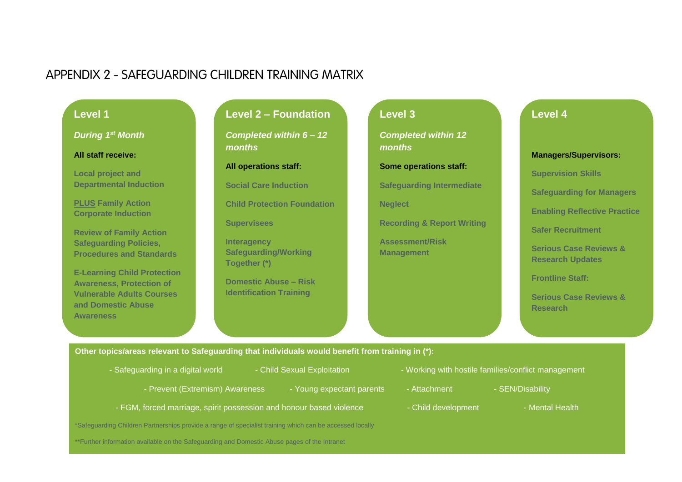## APPENDIX 2 - SAFEGUARDING CHILDREN TRAINING MATRIX

#### **Level 1**

*During 1st Month*

#### **All staff receive:**

**Local project and Departmental Induction**

**PLUS Family Action Corporate Induction**

<span id="page-38-0"></span>**Review of Family Action Safeguarding Policies, Procedures and Standards**

**E-Learning Child Protection Awareness, Protection of Vulnerable Adults Courses and Domestic Abuse Awareness**

### **Level 2 – Foundation**

*Completed within 6 – 12 months*

#### **All operations staff:**

**Social Care Induction**

**Child Protection Foundation** 

**Supervisees**

**Interagency Safeguarding/Working Together (\*)**

**Domestic Abuse – Risk Identification Training**

## **Level 3** *Completed within 12 months* **Some operations staff:**

**Safeguarding Intermediate**

**Neglect**

**Recording & Report Writing**

**Assessment/Risk Management**

#### **Level 4**

**Managers/Supervisors:**

**Supervision Skills**

**Safeguarding for Managers**

**Enabling Reflective Practice**

**Safer Recruitment**

**Serious Case Reviews & Research Updates**

**Frontline Staff:**

**Serious Case Reviews & Research**

**Other topics/areas relevant to Safeguarding that individuals would benefit from training in (\*):**

- 
- -
- 
- Safeguarding in a digital world Child Sexual Exploitation Working with hostile families/conflict management
	- Prevent (Extremism) Awareness Young expectant parents Attachment SEN/Disability
- 
- FGM, forced marriage, spirit possession and honour based violence - Child development Mental Health
- \*Safeguarding Children Partnerships provide a range of specialist training which can be accessed locally

\*\*Further information available on the Safeguarding and Domestic Abuse pages of the Intranet

- - -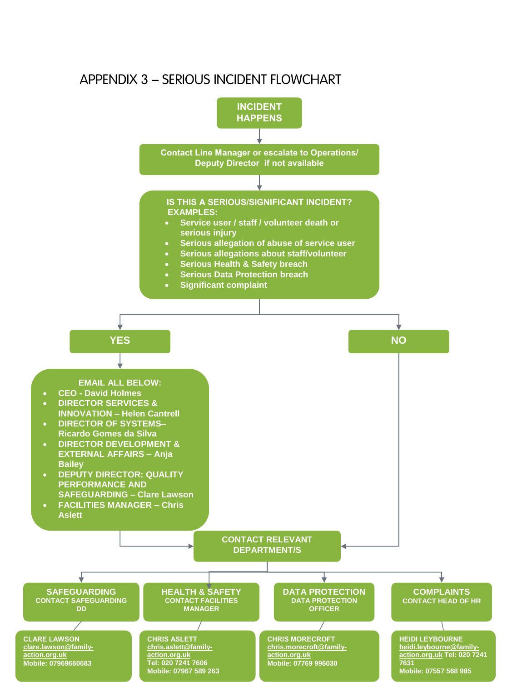## <span id="page-39-0"></span>APPENDIX 3 – SERIOUS INCIDENT FLOWCHART

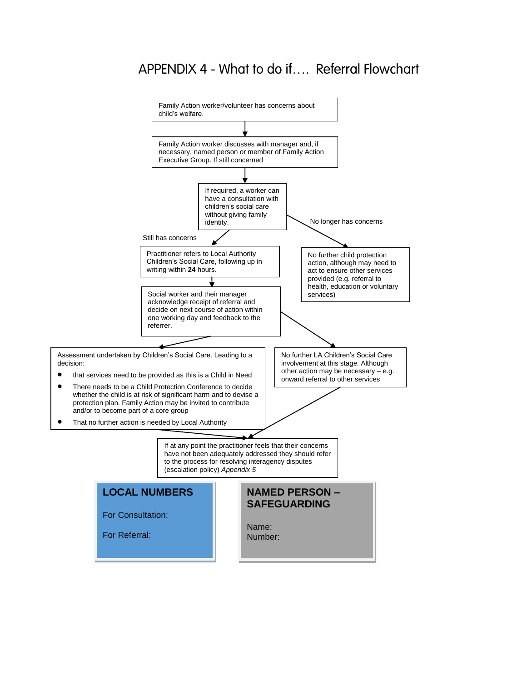## APPENDIX 4 - What to do if…. Referral Flowchart

<span id="page-40-0"></span>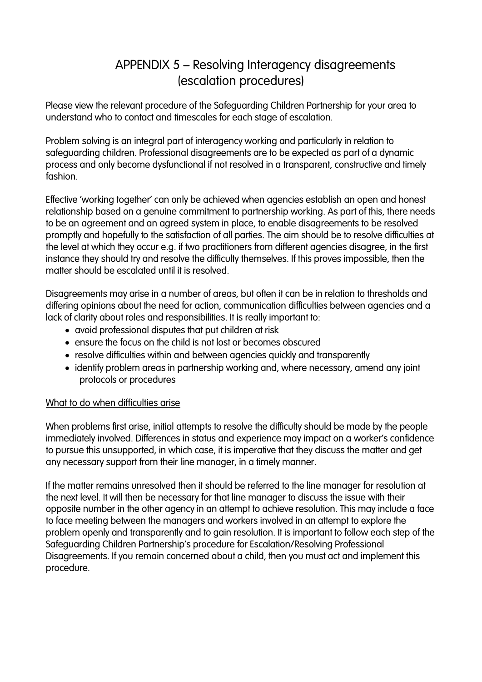## APPENDIX 5 – Resolving Interagency disagreements (escalation procedures)

Please view the relevant procedure of the Safeguarding Children Partnership for your area to understand who to contact and timescales for each stage of escalation.

Problem solving is an integral part of interagency working and particularly in relation to safeguarding children. Professional disagreements are to be expected as part of a dynamic process and only become dysfunctional if not resolved in a transparent, constructive and timely fashion.

Effective 'working together' can only be achieved when agencies establish an open and honest relationship based on a genuine commitment to partnership working. As part of this, there needs to be an agreement and an agreed system in place, to enable disagreements to be resolved promptly and hopefully to the satisfaction of all parties. The aim should be to resolve difficulties at the level at which they occur e.g. if two practitioners from different agencies disagree, in the first instance they should try and resolve the difficulty themselves. If this proves impossible, then the matter should be escalated until it is resolved.

Disagreements may arise in a number of areas, but often it can be in relation to thresholds and differing opinions about the need for action, communication difficulties between agencies and a lack of clarity about roles and responsibilities. It is really important to:

- avoid professional disputes that put children at risk
- ensure the focus on the child is not lost or becomes obscured
- resolve difficulties within and between agencies quickly and transparently
- identify problem areas in partnership working and, where necessary, amend any joint protocols or procedures

#### What to do when difficulties arise

When problems first arise, initial attempts to resolve the difficulty should be made by the people immediately involved. Differences in status and experience may impact on a worker's confidence to pursue this unsupported, in which case, it is imperative that they discuss the matter and get any necessary support from their line manager, in a timely manner.

If the matter remains unresolved then it should be referred to the line manager for resolution at the next level. It will then be necessary for that line manager to discuss the issue with their opposite number in the other agency in an attempt to achieve resolution. This may include a face to face meeting between the managers and workers involved in an attempt to explore the problem openly and transparently and to gain resolution. It is important to follow each step of the Safeguarding Children Partnership's procedure for Escalation/Resolving Professional Disagreements. If you remain concerned about a child, then you must act and implement this procedure.